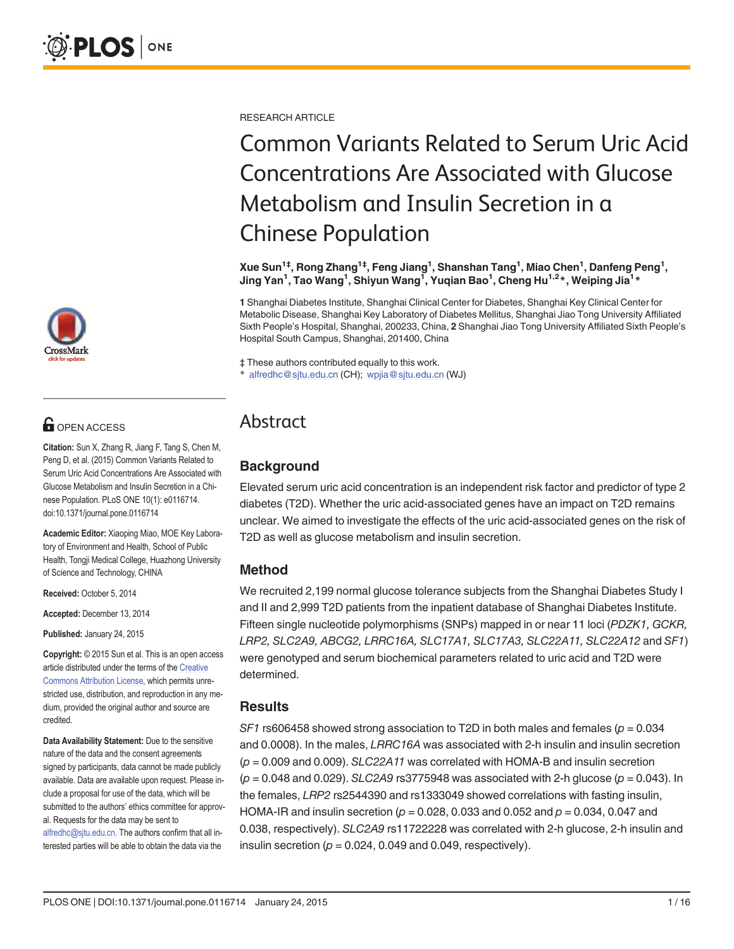

# **OPEN ACCESS**

Citation: Sun X, Zhang R, Jiang F, Tang S, Chen M, Peng D, et al. (2015) Common Variants Related to Serum Uric Acid Concentrations Are Associated with Glucose Metabolism and Insulin Secretion in a Chinese Population. PLoS ONE 10(1): e0116714. doi:10.1371/journal.pone.0116714

Academic Editor: Xiaoping Miao, MOE Key Laboratory of Environment and Health, School of Public Health, Tongji Medical College, Huazhong University of Science and Technology, CHINA

Received: October 5, 2014

Accepted: December 13, 2014

Published: January 24, 2015

Copyright: © 2015 Sun et al. This is an open access article distributed under the terms of the [Creative](http://creativecommons.org/licenses/by/4.0/) [Commons Attribution License](http://creativecommons.org/licenses/by/4.0/), which permits unrestricted use, distribution, and reproduction in any medium, provided the original author and source are credited.

Data Availability Statement: Due to the sensitive nature of the data and the consent agreements signed by participants, data cannot be made publicly available. Data are available upon request. Please include a proposal for use of the data, which will be submitted to the authors' ethics committee for approval. Requests for the data may be sent to alfredhc@sjtu.edu.cn. The authors confirm that all interested parties will be able to obtain the data via the

RESEARCH ARTICLE

# Common Variants Related to Serum Uric Acid Concentrations Are Associated with Glucose Metabolism and Insulin Secretion in a Chinese Population

Xue Sun<sup>1‡</sup>, Rong Zhang<sup>1‡</sup>, Feng Jiang<sup>1</sup>, Shanshan Tang<sup>1</sup>, Miao Chen<sup>1</sup>, Danfeng Peng<sup>1</sup>, Jing Yan<sup>1</sup>, Tao Wang<sup>1</sup>, Shiyun Wang<sup>1</sup>, Yuqian Bao<sup>1</sup>, Cheng Hu<sup>1,2</sup>\*, Weiping Jia<sup>1</sup>\*

1 Shanghai Diabetes Institute, Shanghai Clinical Center for Diabetes, Shanghai Key Clinical Center for Metabolic Disease, Shanghai Key Laboratory of Diabetes Mellitus, Shanghai Jiao Tong University Affiliated Sixth People's Hospital, Shanghai, 200233, China, 2 Shanghai Jiao Tong University Affiliated Sixth People's Hospital South Campus, Shanghai, 201400, China

‡ These authors contributed equally to this work. alfredhc@sjtu.edu.cn (CH); wpjia@sjtu.edu.cn (WJ)

## Abstract

### **Background**

Elevated serum uric acid concentration is an independent risk factor and predictor of type 2 diabetes (T2D). Whether the uric acid-associated genes have an impact on T2D remains unclear. We aimed to investigate the effects of the uric acid-associated genes on the risk of T2D as well as glucose metabolism and insulin secretion.

### Method

We recruited 2,199 normal glucose tolerance subjects from the Shanghai Diabetes Study I and II and 2,999 T2D patients from the inpatient database of Shanghai Diabetes Institute. Fifteen single nucleotide polymorphisms (SNPs) mapped in or near 11 loci (PDZK1, GCKR, LRP2, SLC2A9, ABCG2, LRRC16A, SLC17A1, SLC17A3, SLC22A11, SLC22A12 and SF1) were genotyped and serum biochemical parameters related to uric acid and T2D were determined.

### **Results**

SF1 rs606458 showed strong association to T2D in both males and females ( $p = 0.034$ ) and 0.0008). In the males, LRRC16A was associated with 2-h insulin and insulin secretion  $(p = 0.009$  and 0.009). SLC22A11 was correlated with HOMA-B and insulin secretion  $(p = 0.048$  and 0.029). SLC2A9 rs3775948 was associated with 2-h glucose  $(p = 0.043)$ . In the females, LRP2 rs2544390 and rs1333049 showed correlations with fasting insulin, HOMA-IR and insulin secretion ( $p = 0.028$ , 0.033 and 0.052 and  $p = 0.034$ , 0.047 and 0.038, respectively). SLC2A9 rs11722228 was correlated with 2-h glucose, 2-h insulin and insulin secretion ( $p = 0.024$ , 0.049 and 0.049, respectively).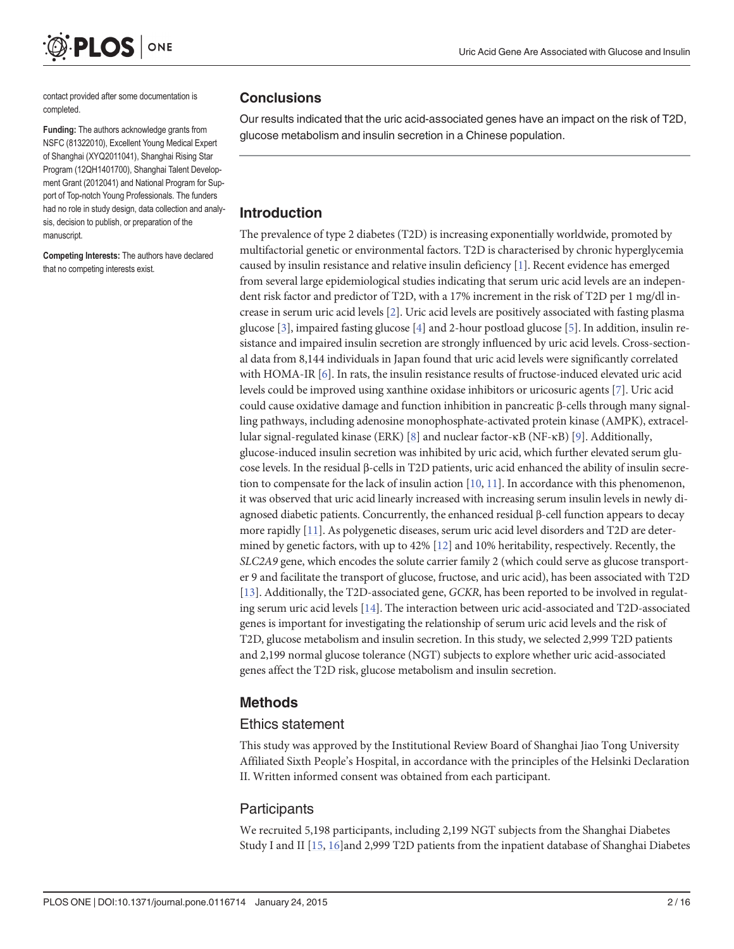<span id="page-1-0"></span>

contact provided after some documentation is completed.

Funding: The authors acknowledge grants from NSFC (81322010), Excellent Young Medical Expert of Shanghai (XYQ2011041), Shanghai Rising Star Program (12QH1401700), Shanghai Talent Development Grant (2012041) and National Program for Support of Top-notch Young Professionals. The funders had no role in study design, data collection and analysis, decision to publish, or preparation of the manuscript.

Competing Interests: The authors have declared that no competing interests exist.

### **Conclusions**

Our results indicated that the uric acid-associated genes have an impact on the risk of T2D, glucose metabolism and insulin secretion in a Chinese population.

### Introduction

The prevalence of type 2 diabetes (T2D) is increasing exponentially worldwide, promoted by multifactorial genetic or environmental factors. T2D is characterised by chronic hyperglycemia caused by insulin resistance and relative insulin deficiency [\[1\]](#page-13-0). Recent evidence has emerged from several large epidemiological studies indicating that serum uric acid levels are an independent risk factor and predictor of T2D, with a 17% increment in the risk of T2D per 1 mg/dl increase in serum uric acid levels  $[2]$  $[2]$  $[2]$ . Uric acid levels are positively associated with fasting plasma glucose [\[3](#page-13-0)], impaired fasting glucose [\[4](#page-13-0)] and 2-hour postload glucose [\[5](#page-13-0)]. In addition, insulin resistance and impaired insulin secretion are strongly influenced by uric acid levels. Cross-sectional data from 8,144 individuals in Japan found that uric acid levels were significantly correlated with HOMA-IR [[6](#page-13-0)]. In rats, the insulin resistance results of fructose-induced elevated uric acid levels could be improved using xanthine oxidase inhibitors or uricosuric agents [[7\]](#page-13-0). Uric acid could cause oxidative damage and function inhibition in pancreatic β-cells through many signalling pathways, including adenosine monophosphate-activated protein kinase (AMPK), extracellular signal-regulated kinase (ERK) [[8](#page-13-0)] and nuclear factor-κB (NF-κB) [\[9](#page-13-0)]. Additionally, glucose-induced insulin secretion was inhibited by uric acid, which further elevated serum glucose levels. In the residual β-cells in T2D patients, uric acid enhanced the ability of insulin secretion to compensate for the lack of insulin action [\[10,](#page-13-0) [11](#page-14-0)]. In accordance with this phenomenon, it was observed that uric acid linearly increased with increasing serum insulin levels in newly diagnosed diabetic patients. Concurrently, the enhanced residual β-cell function appears to decay more rapidly [\[11\]](#page-14-0). As polygenetic diseases, serum uric acid level disorders and T2D are determined by genetic factors, with up to 42% [[12](#page-14-0)] and 10% heritability, respectively. Recently, the SLC2A9 gene, which encodes the solute carrier family 2 (which could serve as glucose transporter 9 and facilitate the transport of glucose, fructose, and uric acid), has been associated with T2D [\[13\]](#page-14-0). Additionally, the T2D-associated gene, GCKR, has been reported to be involved in regulating serum uric acid levels [\[14\]](#page-14-0). The interaction between uric acid-associated and T2D-associated genes is important for investigating the relationship of serum uric acid levels and the risk of T2D, glucose metabolism and insulin secretion. In this study, we selected 2,999 T2D patients and 2,199 normal glucose tolerance (NGT) subjects to explore whether uric acid-associated genes affect the T2D risk, glucose metabolism and insulin secretion.

### Methods

### Ethics statement

This study was approved by the Institutional Review Board of Shanghai Jiao Tong University Affiliated Sixth People's Hospital, in accordance with the principles of the Helsinki Declaration II. Written informed consent was obtained from each participant.

### **Participants**

We recruited 5,198 participants, including 2,199 NGT subjects from the Shanghai Diabetes Study I and II [[15,](#page-14-0) [16](#page-14-0)]and 2,999 T2D patients from the inpatient database of Shanghai Diabetes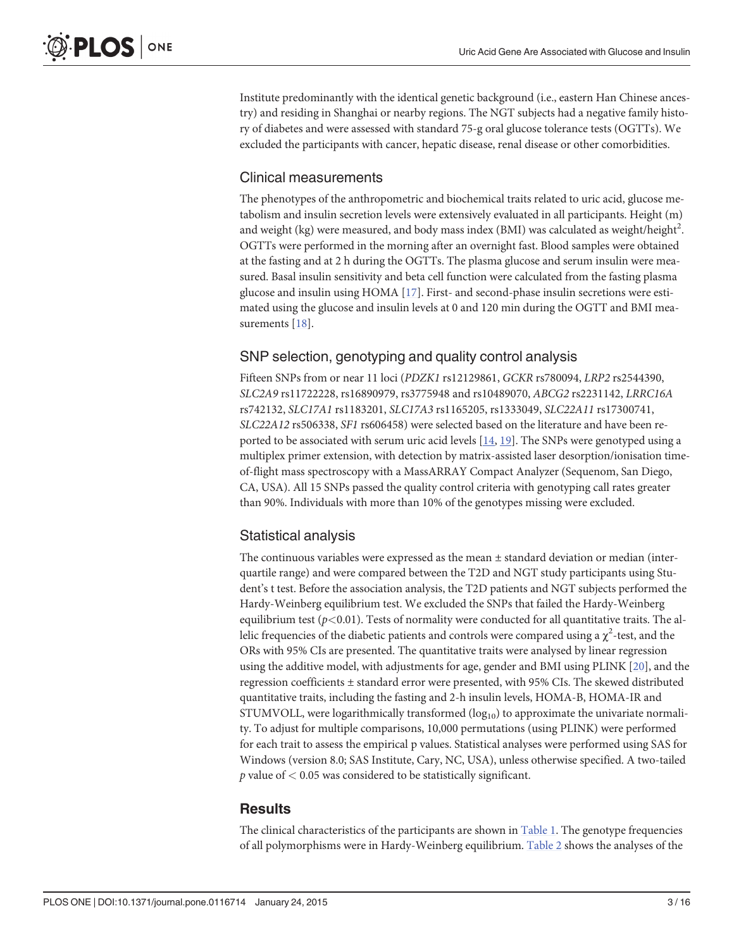<span id="page-2-0"></span>Institute predominantly with the identical genetic background (i.e., eastern Han Chinese ancestry) and residing in Shanghai or nearby regions. The NGT subjects had a negative family history of diabetes and were assessed with standard 75-g oral glucose tolerance tests (OGTTs). We excluded the participants with cancer, hepatic disease, renal disease or other comorbidities.

### Clinical measurements

The phenotypes of the anthropometric and biochemical traits related to uric acid, glucose metabolism and insulin secretion levels were extensively evaluated in all participants. Height (m) and weight (kg) were measured, and body mass index (BMI) was calculated as weight/height $^2$ . OGTTs were performed in the morning after an overnight fast. Blood samples were obtained at the fasting and at 2 h during the OGTTs. The plasma glucose and serum insulin were measured. Basal insulin sensitivity and beta cell function were calculated from the fasting plasma glucose and insulin using HOMA [\[17\]](#page-14-0). First- and second-phase insulin secretions were estimated using the glucose and insulin levels at 0 and 120 min during the OGTT and BMI mea-surements [[18](#page-14-0)].

### SNP selection, genotyping and quality control analysis

Fifteen SNPs from or near 11 loci (PDZK1 rs12129861, GCKR rs780094, LRP2 rs2544390, SLC2A9 rs11722228, rs16890979, rs3775948 and rs10489070, ABCG2 rs2231142, LRRC16A rs742132, SLC17A1 rs1183201, SLC17A3 rs1165205, rs1333049, SLC22A11 rs17300741, SLC22A12 rs506338, SF1 rs606458) were selected based on the literature and have been reported to be associated with serum uric acid levels  $[14, 19]$  $[14, 19]$  $[14, 19]$ . The SNPs were genotyped using a multiplex primer extension, with detection by matrix-assisted laser desorption/ionisation timeof-flight mass spectroscopy with a MassARRAY Compact Analyzer (Sequenom, San Diego, CA, USA). All 15 SNPs passed the quality control criteria with genotyping call rates greater than 90%. Individuals with more than 10% of the genotypes missing were excluded.

### Statistical analysis

The continuous variables were expressed as the mean  $\pm$  standard deviation or median (interquartile range) and were compared between the T2D and NGT study participants using Student's t test. Before the association analysis, the T2D patients and NGT subjects performed the Hardy-Weinberg equilibrium test. We excluded the SNPs that failed the Hardy-Weinberg equilibrium test  $(p<0.01)$ . Tests of normality were conducted for all quantitative traits. The allelic frequencies of the diabetic patients and controls were compared using a  $\chi^2$ -test, and the ORs with 95% CIs are presented. The quantitative traits were analysed by linear regression using the additive model, with adjustments for age, gender and BMI using PLINK [\[20\]](#page-14-0), and the regression coefficients ± standard error were presented, with 95% CIs. The skewed distributed quantitative traits, including the fasting and 2-h insulin levels, HOMA-B, HOMA-IR and STUMVOLL, were logarithmically transformed  $(log_{10})$  to approximate the univariate normality. To adjust for multiple comparisons, 10,000 permutations (using PLINK) were performed for each trait to assess the empirical p values. Statistical analyses were performed using SAS for Windows (version 8.0; SAS Institute, Cary, NC, USA), unless otherwise specified. A two-tailed  $p$  value of  $< 0.05$  was considered to be statistically significant.

### **Results**

The clinical characteristics of the participants are shown in [Table 1.](#page-3-0) The genotype frequencies of all polymorphisms were in Hardy-Weinberg equilibrium. [Table 2](#page-4-0) shows the analyses of the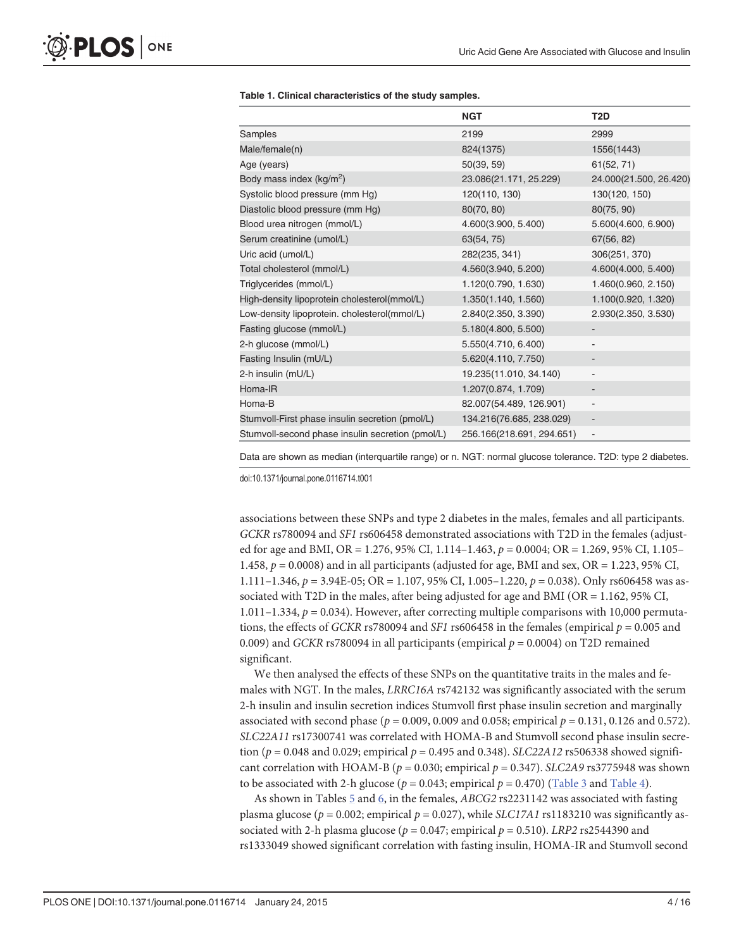|                                                  | <b>NGT</b>                | T <sub>2</sub> D             |
|--------------------------------------------------|---------------------------|------------------------------|
| Samples                                          | 2199                      | 2999                         |
| Male/female(n)                                   | 824(1375)                 | 1556(1443)                   |
| Age (years)                                      | 50(39, 59)                | 61(52, 71)                   |
| Body mass index (kg/m <sup>2</sup> )             | 23.086(21.171, 25.229)    | 24.000(21.500, 26.420)       |
| Systolic blood pressure (mm Hg)                  | 120(110, 130)             | 130(120, 150)                |
| Diastolic blood pressure (mm Hg)                 | 80(70, 80)                | 80(75, 90)                   |
| Blood urea nitrogen (mmol/L)                     | 4.600(3.900, 5.400)       | 5.600(4.600, 6.900)          |
| Serum creatinine (umol/L)                        | 63(54, 75)                | 67(56, 82)                   |
| Uric acid (umol/L)                               | 282(235, 341)             | 306(251, 370)                |
| Total cholesterol (mmol/L)                       | 4.560(3.940, 5.200)       | 4.600(4.000, 5.400)          |
| Triglycerides (mmol/L)                           | 1.120(0.790, 1.630)       | 1.460(0.960, 2.150)          |
| High-density lipoprotein cholesterol(mmol/L)     | 1.350(1.140, 1.560)       | 1.100(0.920, 1.320)          |
| Low-density lipoprotein. cholesterol(mmol/L)     | 2.840(2.350, 3.390)       | 2.930(2.350, 3.530)          |
| Fasting glucose (mmol/L)                         | 5.180(4.800, 5.500)       |                              |
| 2-h glucose (mmol/L)                             | 5.550(4.710, 6.400)       |                              |
| Fasting Insulin (mU/L)                           | 5.620(4.110, 7.750)       | $\qquad \qquad \blacksquare$ |
| 2-h insulin (mU/L)                               | 19.235(11.010, 34.140)    |                              |
| Homa-IR                                          | 1.207(0.874, 1.709)       |                              |
| Homa-B                                           | 82.007(54.489, 126.901)   | $\overline{\phantom{a}}$     |
| Stumvoll-First phase insulin secretion (pmol/L)  | 134.216(76.685, 238.029)  | $\centerdot$                 |
| Stumvoll-second phase insulin secretion (pmol/L) | 256.166(218.691, 294.651) | $\overline{\phantom{m}}$     |

#### <span id="page-3-0"></span>[Table 1.](#page-2-0) Clinical characteristics of the study samples.

Data are shown as median (interquartile range) or n. NGT: normal glucose tolerance. T2D: type 2 diabetes.

doi:10.1371/journal.pone.0116714.t001

associations between these SNPs and type 2 diabetes in the males, females and all participants. GCKR rs780094 and SF1 rs606458 demonstrated associations with T2D in the females (adjusted for age and BMI, OR = 1.276, 95% CI, 1.114–1.463,  $p = 0.0004$ ; OR = 1.269, 95% CI, 1.105– 1.458,  $p = 0.0008$ ) and in all participants (adjusted for age, BMI and sex, OR = 1.223, 95% CI, 1.111–1.346,  $p = 3.94E-05$ ; OR = 1.107, 95% CI, 1.005–1.220,  $p = 0.038$ ). Only rs606458 was associated with T2D in the males, after being adjusted for age and BMI (OR = 1.162, 95% CI, 1.011–1.334,  $p = 0.034$ ). However, after correcting multiple comparisons with 10,000 permutations, the effects of GCKR rs780094 and SF1 rs606458 in the females (empirical  $p = 0.005$  and 0.009) and GCKR rs780094 in all participants (empirical  $p = 0.0004$ ) on T2D remained significant.

We then analysed the effects of these SNPs on the quantitative traits in the males and females with NGT. In the males, LRRC16A rs742132 was significantly associated with the serum 2-h insulin and insulin secretion indices Stumvoll first phase insulin secretion and marginally associated with second phase ( $p = 0.009, 0.009$  and 0.058; empirical  $p = 0.131, 0.126$  and 0.572). SLC22A11 rs17300741 was correlated with HOMA-B and Stumvoll second phase insulin secretion ( $p = 0.048$  and 0.029; empirical  $p = 0.495$  and 0.348). SLC22A12 rs506338 showed significant correlation with HOAM-B ( $p = 0.030$ ; empirical  $p = 0.347$ ). SLC2A9 rs3775948 was shown to be associated with 2-h glucose ( $p = 0.043$ ; empirical  $p = 0.470$ ) [\(Table 3](#page-5-0) and [Table 4](#page-7-0)).

As shown in Tables [5](#page-9-0) and [6](#page-11-0), in the females, ABCG2 rs2231142 was associated with fasting plasma glucose ( $p = 0.002$ ; empirical  $p = 0.027$ ), while SLC17A1 rs1183210 was significantly associated with 2-h plasma glucose ( $p = 0.047$ ; empirical  $p = 0.510$ ). LRP2 rs2544390 and rs1333049 showed significant correlation with fasting insulin, HOMA-IR and Stumvoll second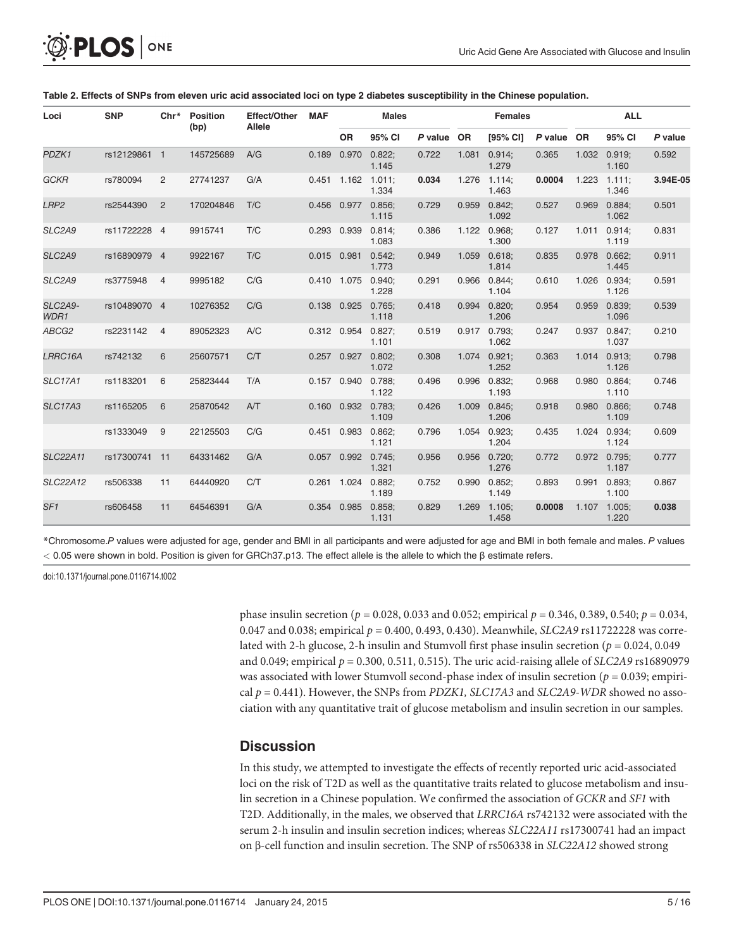0.867

0.038

1.187

1.100

1.220

0.893 0.991 0.893;

0.0008 1.107 1.005;

3.94E-05

|                              | Ø·PLOS I      | ONE                               |           |                                                                                                                             |            |              |                               |         |                | Uric Acid Gene Are Associated with Glucose and Insuli |            |           |                 |         |
|------------------------------|---------------|-----------------------------------|-----------|-----------------------------------------------------------------------------------------------------------------------------|------------|--------------|-------------------------------|---------|----------------|-------------------------------------------------------|------------|-----------|-----------------|---------|
|                              |               |                                   |           | Table 2. Effects of SNPs from eleven uric acid associated loci on type 2 diabetes susceptibility in the Chinese population. |            |              |                               |         |                |                                                       |            |           |                 |         |
| Loci                         | <b>SNP</b>    | $Chr*$<br><b>Position</b><br>(bp) |           | Effect/Other                                                                                                                | <b>MAF</b> | <b>Males</b> |                               |         | <b>Females</b> |                                                       | <b>ALL</b> |           |                 |         |
|                              |               |                                   |           | Allele                                                                                                                      |            | <b>OR</b>    | 95% CI                        | P value | <b>OR</b>      | [95% CI]                                              | P value    | <b>OR</b> | 95% CI          | P value |
| PDZK1                        | rs12129861 1  |                                   | 145725689 | A/G                                                                                                                         | 0.189      | 0.970        | 0.822:<br>1.145               | 0.722   | 1.081          | 0.914;<br>1.279                                       | 0.365      | 1.032     | 0.919:<br>1.160 | 0.592   |
| <b>GCKR</b>                  | rs780094      | 2                                 | 27741237  | G/A                                                                                                                         |            |              | $0.451$ 1.162 1.011:<br>1.334 | 0.034   |                | 1.276 1.114:<br>1.463                                 | 0.0004     | 1.223     | 1.111:<br>1.346 | 3.94E-0 |
| LRP <sub>2</sub>             | rs2544390     | $\overline{2}$                    | 170204846 | T/C                                                                                                                         | 0.456      | 0.977        | 0.856:<br>1.115               | 0.729   | 0.959          | 0.842:<br>1.092                                       | 0.527      | 0.969     | 0.884:<br>1.062 | 0.501   |
| SLC <sub>2</sub> A9          | rs11722228 4  |                                   | 9915741   | T/C                                                                                                                         |            | 0.293 0.939  | 0.814:<br>1.083               | 0.386   |                | 1.122 0.968;<br>1.300                                 | 0.127      | 1.011     | 0.914:<br>1.119 | 0.831   |
| SLC2A9                       | rs16890979 4  |                                   | 9922167   | T/C                                                                                                                         |            | 0.015 0.981  | 0.542:<br>1.773               | 0.949   | 1.059          | 0.618;<br>1.814                                       | 0.835      | 0.978     | 0.662:<br>1.445 | 0.911   |
| SLC2A9                       | rs3775948     | $\overline{4}$                    | 9995182   | C/G                                                                                                                         |            | 0.410 1.075  | 0.940:<br>1.228               | 0.291   | 0.966          | 0.844:<br>1.104                                       | 0.610      | 1.026     | 0.934;<br>1.126 | 0.591   |
| SLC <sub>2</sub> A9-<br>WDR1 | rs10489070 4  |                                   | 10276352  | C/G                                                                                                                         |            | 0.138 0.925  | 0.765:<br>1.118               | 0.418   |                | $0.994$ $0.820$ :<br>1.206                            | 0.954      | 0.959     | 0.839:<br>1.096 | 0.539   |
| ABCG2                        | rs2231142     | $\overline{4}$                    | 89052323  | A/C                                                                                                                         |            | 0.312 0.954  | 0.827:<br>1.101               | 0.519   |                | 0.917 0.793:<br>1.062                                 | 0.247      | 0.937     | 0.847:<br>1.037 | 0.210   |
| LRRC16A                      | rs742132      | 6                                 | 25607571  | C/T                                                                                                                         | 0.257      | 0.927        | 0.802:<br>1.072               | 0.308   |                | 1.074 0.921:<br>1.252                                 | 0.363      | 1.014     | 0.913:<br>1.126 | 0.798   |
| <b>SLC17A1</b>               | rs1183201     | 6                                 | 25823444  | T/A                                                                                                                         |            | 0.157 0.940  | 0.788:<br>1.122               | 0.496   |                | 0.996 0.832:<br>1.193                                 | 0.968      | 0.980     | 0.864:<br>1.110 | 0.746   |
| <b>SLC17A3</b>               | rs1165205     | 6                                 | 25870542  | AT                                                                                                                          |            |              | 0.160 0.932 0.783;<br>1.109   | 0.426   | 1.009          | 0.845;<br>1.206                                       | 0.918      | 0.980     | 0.866;<br>1.109 | 0.748   |
|                              | rs1333049     | 9                                 | 22125503  | C/G                                                                                                                         |            | 0.451 0.983  | 0.862;<br>1.121               | 0.796   |                | 1.054 0.923;<br>1.204                                 | 0.435      | 1.024     | 0.934;<br>1.124 | 0.609   |
| <b>SLC22A11</b>              | rs17300741 11 |                                   | 64331462  | G/A                                                                                                                         | 0.057      |              | $0.992$ $0.745$               | 0.956   |                | $0.956$ $0.720$ ;                                     | 0.772      |           | 0.972 0.795;    | 0.777   |

\*Chromosome.P values were adjusted for age, gender and BMI in all participants and were adjusted for age and BMI in both female and males. P values < 0.05 were shown in bold. Position is given for GRCh37.p13. The effect allele is the allele to which the β estimate refers.

1.321

1.189

1.131

doi:10.1371/journal.pone.0116714.t002

<span id="page-4-0"></span> $\hat{m}$   $\mathbf{m}$   $\mathbf{a}$ 

phase insulin secretion ( $p = 0.028, 0.033$  and 0.052; empirical  $p = 0.346, 0.389, 0.540; p = 0.034$ , 0.047 and 0.038; empirical  $p = 0.400, 0.493, 0.430$ . Meanwhile, SLC2A9 rs11722228 was correlated with 2-h glucose, 2-h insulin and Stumvoll first phase insulin secretion ( $p = 0.024$ , 0.049 and 0.049; empirical  $p = 0.300, 0.511, 0.515$ ). The uric acid-raising allele of SLC2A9 rs16890979 was associated with lower Stumvoll second-phase index of insulin secretion ( $p = 0.039$ ; empirical  $p = 0.441$ ). However, the SNPs from *PDZK1*, SLC17A3 and SLC2A9-WDR showed no association with any quantitative trait of glucose metabolism and insulin secretion in our samples.

1.276

1.149

1.458

0.752 0.990 0.852;

0.829 1.269 1.105;

### **Discussion**

SLC22A12 rs506338 11 64440920 C/T 0.261 1.024 0.882;

SF1 rs606458 11 64546391 G/A 0.354 0.985 0.858;

In this study, we attempted to investigate the effects of recently reported uric acid-associated loci on the risk of T2D as well as the quantitative traits related to glucose metabolism and insulin secretion in a Chinese population. We confirmed the association of GCKR and SF1 with T2D. Additionally, in the males, we observed that LRRC16A rs742132 were associated with the serum 2-h insulin and insulin secretion indices; whereas SLC22A11 rs17300741 had an impact on β-cell function and insulin secretion. The SNP of rs506338 in SLC22A12 showed strong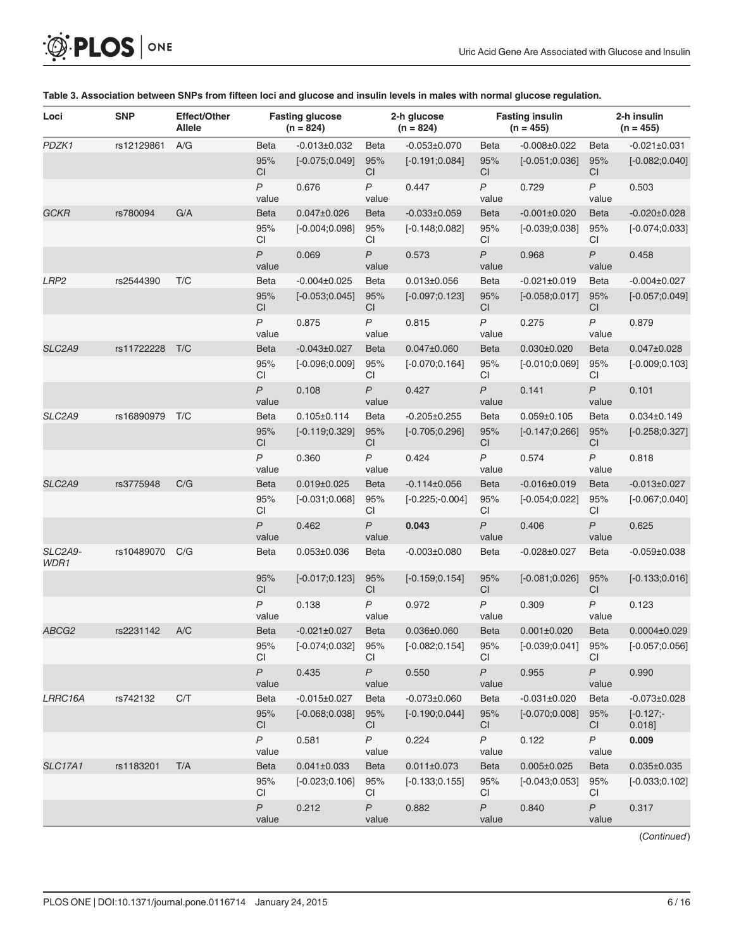<span id="page-5-0"></span>

| O PLOS ONE |  |
|------------|--|
|------------|--|

| Loci             | <b>SNP</b> | Effect/Other<br><b>Allele</b> |                         | <b>Fasting glucose</b><br>$(n = 824)$ |                           | 2-h glucose<br>$(n = 824)$ |                           | <b>Fasting insulin</b><br>$(n = 455)$ |                           | 2-h insulin<br>$(n = 455)$ |
|------------------|------------|-------------------------------|-------------------------|---------------------------------------|---------------------------|----------------------------|---------------------------|---------------------------------------|---------------------------|----------------------------|
| PDZK1            | rs12129861 | A/G                           | <b>Beta</b>             | $-0.013 \pm 0.032$                    | <b>Beta</b>               | $-0.053\pm0.070$           | <b>Beta</b>               | $-0.008 \pm 0.022$                    | <b>Beta</b>               | $-0.021 \pm 0.031$         |
|                  |            |                               | 95%<br><b>CI</b>        | $[-0.075;0.049]$                      | 95%<br><b>CI</b>          | $[-0.191; 0.084]$          | 95%<br>CI                 | $[-0.051;0.036]$                      | 95%<br><b>CI</b>          | $[-0.082;0.040]$           |
|                  |            |                               | P<br>value              | 0.676                                 | $\overline{P}$<br>value   | 0.447                      | $\overline{P}$<br>value   | 0.729                                 | P<br>value                | 0.503                      |
| GCKR             | rs780094   | G/A                           | <b>Beta</b>             | $0.047 \pm 0.026$                     | <b>Beta</b>               | $-0.033\pm0.059$           | <b>Beta</b>               | $-0.001 \pm 0.020$                    | <b>Beta</b>               | $-0.020 \pm 0.028$         |
|                  |            |                               | 95%<br>CI               | $[-0.004;0.098]$                      | 95%<br><b>CI</b>          | $[-0.148;0.082]$           | 95%<br><b>CI</b>          | $[-0.039; 0.038]$                     | 95%<br>СI                 | $[-0.074;0.033]$           |
|                  |            |                               | $\overline{P}$<br>value | 0.069                                 | $\mathsf{P}$<br>value     | 0.573                      | $\overline{P}$<br>value   | 0.968                                 | $\overline{P}$<br>value   | 0.458                      |
| LRP <sub>2</sub> | rs2544390  | T/C                           | <b>Beta</b>             | $-0.004\pm0.025$                      | <b>Beta</b>               | $0.013 \pm 0.056$          | <b>Beta</b>               | $-0.021 \pm 0.019$                    | <b>Beta</b>               | $-0.004\pm0.027$           |
|                  |            |                               | 95%<br>CI               | $[-0.053;0.045]$                      | 95%<br><b>CI</b>          | $[-0.097;0.123]$           | 95%<br><b>CI</b>          | $[-0.058;0.017]$                      | 95%<br>СI                 | $[-0.057;0.049]$           |
|                  |            |                               | P<br>value              | 0.875                                 | $\mathsf{P}$<br>value     | 0.815                      | $\boldsymbol{P}$<br>value | 0.275                                 | P<br>value                | 0.879                      |
| SLC2A9           | rs11722228 | T/C                           | <b>Beta</b>             | $-0.043 \pm 0.027$                    | <b>Beta</b>               | $0.047 \pm 0.060$          | <b>Beta</b>               | $0.030 \pm 0.020$                     | <b>Beta</b>               | $0.047 \pm 0.028$          |
|                  |            |                               | 95%<br>CI               | $[-0.096;0.009]$                      | 95%<br>CI                 | $[-0.070;0.164]$           | 95%<br><b>CI</b>          | $[-0.010;0.069]$                      | 95%<br>CI                 | $[-0.009; 0.103]$          |
|                  |            |                               | $\overline{P}$<br>value | 0.108                                 | $\overline{P}$<br>value   | 0.427                      | $\overline{P}$<br>value   | 0.141                                 | $\overline{P}$<br>value   | 0.101                      |
| SLC2A9           | rs16890979 | T/C                           | <b>Beta</b>             | $0.105 \pm 0.114$                     | <b>Beta</b>               | $-0.205 \pm 0.255$         | <b>Beta</b>               | $0.059 \pm 0.105$                     | <b>Beta</b>               | $0.034 \pm 0.149$          |
|                  |            |                               | 95%<br><b>CI</b>        | $[-0.119; 0.329]$                     | 95%<br><b>CI</b>          | $[-0.705;0.296]$           | 95%<br>CI                 | $[-0.147;0.266]$                      | 95%<br>СI                 | $[-0.258; 0.327]$          |
|                  |            |                               | P<br>value              | 0.360                                 | $\mathsf{P}$<br>value     | 0.424                      | $\mathsf{P}$<br>value     | 0.574                                 | P<br>value                | 0.818                      |
| SLC2A9           | rs3775948  | C/G                           | <b>Beta</b>             | $0.019 \pm 0.025$                     | <b>Beta</b>               | $-0.114\pm0.056$           | <b>Beta</b>               | $-0.016 \pm 0.019$                    | <b>Beta</b>               | $-0.013 \pm 0.027$         |
|                  |            |                               | 95%<br>CI               | $[-0.031;0.068]$                      | 95%<br><b>CI</b>          | $[-0.225; -0.004]$         | 95%<br><b>CI</b>          | $[-0.054;0.022]$                      | 95%<br>СI                 | $[-0.067;0.040]$           |
|                  |            |                               | $\overline{P}$<br>value | 0.462                                 | $\overline{P}$<br>value   | 0.043                      | $\overline{P}$<br>value   | 0.406                                 | $\overline{P}$<br>value   | 0.625                      |
| SLC2A9-<br>WDR1  | rs10489070 | C/G                           | <b>Beta</b>             | $0.053 \pm 0.036$                     | Beta                      | $-0.003\pm0.080$           | <b>Beta</b>               | $-0.028 \pm 0.027$                    | <b>Beta</b>               | $-0.059 \pm 0.038$         |
|                  |            |                               | 95%<br><b>CI</b>        | $[-0.017;0.123]$                      | 95%<br>CI                 | $[-0.159; 0.154]$          | 95%<br><b>CI</b>          | $[-0.081;0.026]$                      | 95%<br>CI                 | $[-0.133;0.016]$           |
|                  |            |                               | $\mathsf{P}$<br>value   | 0.138                                 | $\overline{P}$<br>value   | 0.972                      | $\overline{P}$<br>value   | 0.309                                 | $\overline{P}$<br>value   | 0.123                      |
| ABCG2            | rs2231142  | A/C                           | <b>Beta</b>             | $-0.021 \pm 0.027$                    | <b>Beta</b>               | $0.036 \pm 0.060$          | <b>Beta</b>               | $0.001 \pm 0.020$                     | <b>Beta</b>               | $0.0004\pm0.029$           |
|                  |            |                               | 95%<br>CI               | $[-0.074;0.032]$                      | $95\%$<br><sub>CI</sub>   | $[-0.082;0.154]$           | 95%<br>CI.                | $[-0.039;0.041]$                      | $95\%$<br>СI              | $[-0.057;0.056]$           |
|                  |            |                               | $\mathsf{P}$<br>value   | 0.435                                 | $\boldsymbol{P}$<br>value | 0.550                      | P<br>value                | 0.955                                 | P<br>value                | 0.990                      |
| LRRC16A          | rs742132   | C/T                           | Beta                    | $-0.015 \pm 0.027$                    | Beta                      | $-0.073 \pm 0.060$         | Beta                      | $-0.031 \pm 0.020$                    | Beta                      | $-0.073 \pm 0.028$         |
|                  |            |                               | 95%<br>CI               | $[-0.068; 0.038]$                     | 95%<br>CI                 | $[-0.190; 0.044]$          | 95%<br>CI.                | $[-0.070;0.008]$                      | 95%<br>CI                 | $[-0.127; -]$<br>0.018]    |
|                  |            |                               | $\mathsf{P}$<br>value   | 0.581                                 | $\boldsymbol{P}$<br>value | 0.224                      | P<br>value                | 0.122                                 | P<br>value                | 0.009                      |
| <b>SLC17A1</b>   | rs1183201  | T/A                           | <b>Beta</b>             | $0.041 \pm 0.033$                     | <b>Beta</b>               | $0.011 \pm 0.073$          | <b>Beta</b>               | $0.005 \pm 0.025$                     | <b>Beta</b>               | $0.035 \pm 0.035$          |
|                  |            |                               | 95%<br>CI               | $[-0.023;0.106]$                      | 95%<br>CI.                | $[-0.133;0.155]$           | 95%<br>CI.                | $[-0.043;0.053]$                      | 95%<br>CI                 | $[-0.033;0.102]$           |
|                  |            |                               | P<br>value              | 0.212                                 | $\boldsymbol{P}$<br>value | 0.882                      | $\boldsymbol{P}$<br>value | 0.840                                 | $\boldsymbol{P}$<br>value | 0.317                      |

#### [Table 3.](#page-3-0) Association between SNPs from fifteen loci and glucose and insulin levels in males with normal glucose regulation.

(Continued)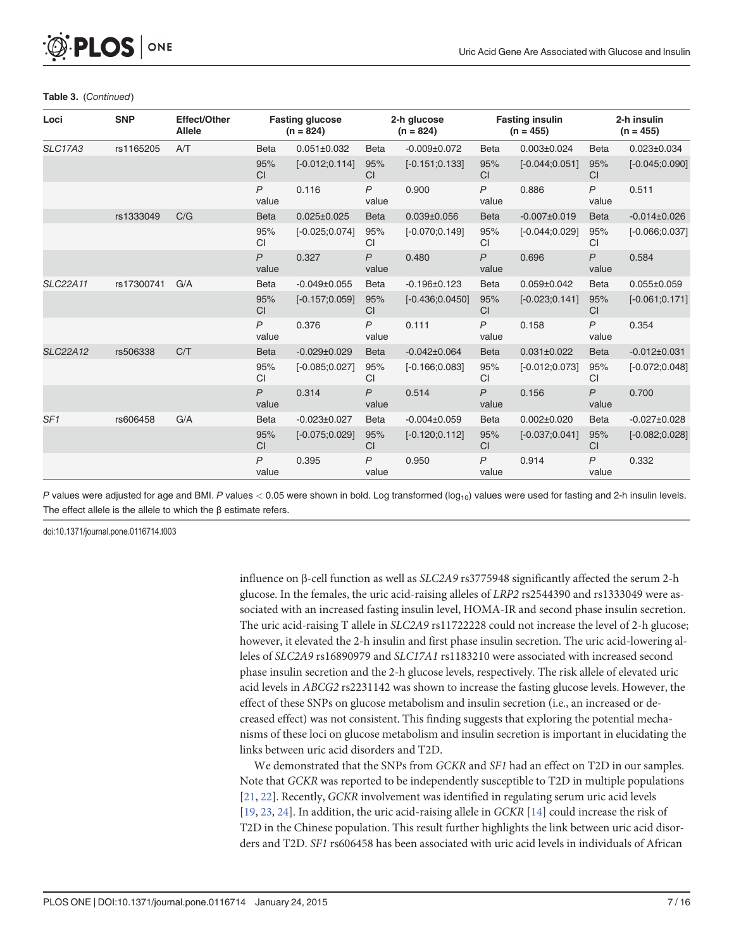#### Table 3. (Continued)

<span id="page-6-0"></span>PLOS ONE

| Loci            | <b>SNP</b> | <b>Effect/Other</b><br><b>Allele</b> |                         | <b>Fasting glucose</b><br>2-h glucose<br>$(n = 824)$<br>$(n = 824)$ |                         | <b>Fasting insulin</b><br>$(n = 455)$ | 2-h insulin<br>$(n = 455)$ |                    |                         |                    |
|-----------------|------------|--------------------------------------|-------------------------|---------------------------------------------------------------------|-------------------------|---------------------------------------|----------------------------|--------------------|-------------------------|--------------------|
| <b>SLC17A3</b>  | rs1165205  | A/T                                  | <b>Beta</b>             | $0.051 \pm 0.032$                                                   | <b>Beta</b>             | $-0.009 \pm 0.072$                    | <b>Beta</b>                | $0.003 \pm 0.024$  | <b>Beta</b>             | $0.023 \pm 0.034$  |
|                 |            |                                      | 95%<br><b>CI</b>        | $[-0.012;0.114]$                                                    | 95%<br>CI               | $[-0.151;0.133]$                      | 95%<br><b>CI</b>           | $[-0.044; 0.051]$  | 95%<br><b>CI</b>        | $[-0.045;0.090]$   |
|                 |            |                                      | $\mathsf{P}$<br>value   | 0.116                                                               | $\overline{P}$<br>value | 0.900                                 | $\mathsf{P}$<br>value      | 0.886              | $\mathsf{P}$<br>value   | 0.511              |
|                 | rs1333049  | C/G                                  | <b>Beta</b>             | $0.025 \pm 0.025$                                                   | <b>Beta</b>             | $0.039 \pm 0.056$                     | <b>Beta</b>                | $-0.007 \pm 0.019$ | <b>Beta</b>             | $-0.014\pm0.026$   |
|                 |            |                                      | 95%<br>CI               | $[-0.025;0.074]$                                                    | 95%<br><b>CI</b>        | $[-0.070;0.149]$                      | 95%<br><b>CI</b>           | $[-0.044; 0.029]$  | 95%<br><b>CI</b>        | $[-0.066;0.037]$   |
|                 |            |                                      | $\overline{P}$<br>value | 0.327                                                               | $\overline{P}$<br>value | 0.480                                 | $\overline{P}$<br>value    | 0.696              | $\overline{P}$<br>value | 0.584              |
| <b>SLC22A11</b> | rs17300741 | G/A                                  | <b>Beta</b>             | $-0.049 \pm 0.055$                                                  | <b>Beta</b>             | $-0.196 \pm 0.123$                    | <b>Beta</b>                | $0.059 \pm 0.042$  | <b>Beta</b>             | $0.055 \pm 0.059$  |
|                 |            |                                      | 95%<br><b>CI</b>        | $[-0.157;0.059]$                                                    | 95%<br><b>CI</b>        | $[-0.436;0.0450]$                     | 95%<br><b>CI</b>           | $[-0.023;0.141]$   | 95%<br><b>CI</b>        | $[-0.061;0.171]$   |
|                 |            |                                      | $\mathsf{P}$<br>value   | 0.376                                                               | $\overline{P}$<br>value | 0.111                                 | $\overline{P}$<br>value    | 0.158              | $\mathsf{P}$<br>value   | 0.354              |
| <b>SLC22A12</b> | rs506338   | C/T                                  | <b>Beta</b>             | $-0.029 \pm 0.029$                                                  | <b>Beta</b>             | $-0.042\pm0.064$                      | <b>Beta</b>                | $0.031 \pm 0.022$  | <b>Beta</b>             | $-0.012\pm0.031$   |
|                 |            |                                      | 95%<br>CI               | $[-0.085;0.027]$                                                    | 95%<br><b>CI</b>        | $[-0.166;0.083]$                      | 95%<br><b>CI</b>           | $[-0.012;0.073]$   | 95%<br><b>CI</b>        | $[-0.072;0.048]$   |
|                 |            |                                      | P<br>value              | 0.314                                                               | $\overline{P}$<br>value | 0.514                                 | $\mathsf{P}$<br>value      | 0.156              | $\mathsf{P}$<br>value   | 0.700              |
| SF <sub>1</sub> | rs606458   | G/A                                  | <b>Beta</b>             | $-0.023 \pm 0.027$                                                  | <b>Beta</b>             | $-0.004\pm0.059$                      | <b>Beta</b>                | $0.002 \pm 0.020$  | <b>Beta</b>             | $-0.027 \pm 0.028$ |
|                 |            |                                      | 95%<br><b>CI</b>        | $[-0.075;0.029]$                                                    | 95%<br><b>CI</b>        | $[-0.120;0.112]$                      | 95%<br><b>CI</b>           | $[-0.037;0.041]$   | 95%<br><b>CI</b>        | $[-0.082;0.028]$   |
|                 |            |                                      | $\mathsf{P}$<br>value   | 0.395                                                               | $\overline{P}$<br>value | 0.950                                 | $\mathsf{P}$<br>value      | 0.914              | $\overline{P}$<br>value | 0.332              |

P values were adjusted for age and BMI. P values  $< 0.05$  were shown in bold. Log transformed ( $log_{10}$ ) values were used for fasting and 2-h insulin levels. The effect allele is the allele to which the β estimate refers.

doi:10.1371/journal.pone.0116714.t003

influence on β-cell function as well as SLC2A9 rs3775948 significantly affected the serum 2-h glucose. In the females, the uric acid-raising alleles of LRP2 rs2544390 and rs1333049 were associated with an increased fasting insulin level, HOMA-IR and second phase insulin secretion. The uric acid-raising T allele in SLC2A9 rs11722228 could not increase the level of 2-h glucose; however, it elevated the 2-h insulin and first phase insulin secretion. The uric acid-lowering alleles of SLC2A9 rs16890979 and SLC17A1 rs1183210 were associated with increased second phase insulin secretion and the 2-h glucose levels, respectively. The risk allele of elevated uric acid levels in ABCG2 rs2231142 was shown to increase the fasting glucose levels. However, the effect of these SNPs on glucose metabolism and insulin secretion (i.e., an increased or decreased effect) was not consistent. This finding suggests that exploring the potential mechanisms of these loci on glucose metabolism and insulin secretion is important in elucidating the links between uric acid disorders and T2D.

We demonstrated that the SNPs from GCKR and SF1 had an effect on T2D in our samples. Note that GCKR was reported to be independently susceptible to T2D in multiple populations [\[21](#page-14-0), [22\]](#page-14-0). Recently, GCKR involvement was identified in regulating serum uric acid levels [\[19](#page-14-0), [23,](#page-14-0) [24\]](#page-14-0). In addition, the uric acid-raising allele in GCKR [[14\]](#page-14-0) could increase the risk of T2D in the Chinese population. This result further highlights the link between uric acid disorders and T2D. SF1 rs606458 has been associated with uric acid levels in individuals of African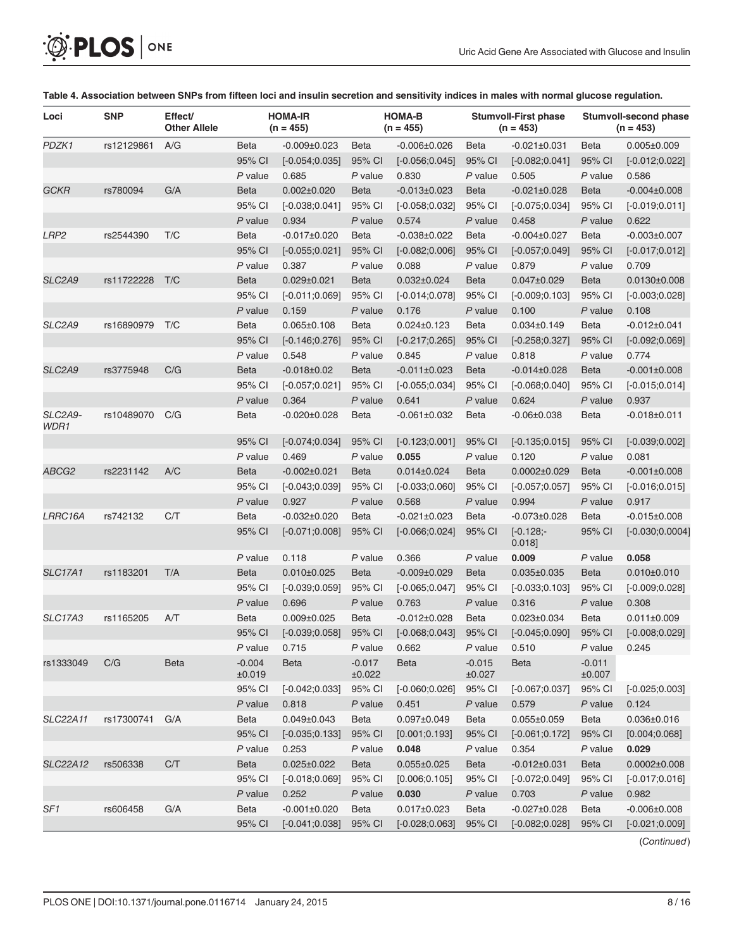<span id="page-7-0"></span>

| Loci            | <b>SNP</b> | Effect/<br><b>Other Allele</b> |                    | <b>HOMA-IR</b><br>$(n = 455)$ |                    | <b>HOMA-B</b><br>$(n = 455)$ |                    | <b>Stumvoll-First phase</b><br>$(n = 453)$ |                         | Stumvoll-second phase<br>$(n = 453)$ |
|-----------------|------------|--------------------------------|--------------------|-------------------------------|--------------------|------------------------------|--------------------|--------------------------------------------|-------------------------|--------------------------------------|
| PDZK1           | rs12129861 | A/G                            | Beta               | $-0.009 \pm 0.023$            | <b>Beta</b>        | $-0.006 \pm 0.026$           | <b>Beta</b>        | $-0.021 \pm 0.031$                         | Beta                    | $0.005 \pm 0.009$                    |
|                 |            |                                | 95% CI             | $[-0.054;0.035]$              | 95% CI             | $[-0.056;0.045]$             | 95% CI             | $[-0.082;0.041]$                           | 95% CI                  | $[-0.012;0.022]$                     |
|                 |            |                                | $P$ value          | 0.685                         | $P$ value          | 0.830                        | P value            | 0.505                                      | $P$ value               | 0.586                                |
| <b>GCKR</b>     | rs780094   | G/A                            | <b>Beta</b>        | $0.002 \pm 0.020$             | <b>Beta</b>        | $-0.013 \pm 0.023$           | <b>Beta</b>        | $-0.021 \pm 0.028$                         | <b>Beta</b>             | $-0.004 \pm 0.008$                   |
|                 |            |                                | 95% CI             | $[-0.038;0.041]$              | 95% CI             | $[-0.058;0.032]$             | 95% CI             | $[-0.075;0.034]$                           | 95% CI                  | $[-0.019; 0.011]$                    |
|                 |            |                                | P value            | 0.934                         | $P$ value          | 0.574                        | $P$ value          | 0.458                                      | $P$ value               | 0.622                                |
| LRP2            | rs2544390  | T/C                            | <b>Beta</b>        | $-0.017 \pm 0.020$            | <b>Beta</b>        | $-0.038 + 0.022$             | <b>Beta</b>        | $-0.004 \pm 0.027$                         | <b>Beta</b>             | $-0.003 \pm 0.007$                   |
|                 |            |                                | 95% CI             | $[-0.055;0.021]$              | 95% CI             | $[-0.082;0.006]$             | 95% CI             | $[-0.057;0.049]$                           | 95% CI                  | $[-0.017;0.012]$                     |
|                 |            |                                | P value            | 0.387                         | $P$ value          | 0.088                        | $P$ value          | 0.879                                      | $P$ value               | 0.709                                |
| SLC2A9          | rs11722228 | T/C                            | <b>Beta</b>        | $0.029 \pm 0.021$             | <b>Beta</b>        | $0.032 \pm 0.024$            | <b>Beta</b>        | $0.047 \pm 0.029$                          | <b>Beta</b>             | $0.0130 \pm 0.008$                   |
|                 |            |                                | 95% CI             | $[-0.011; 0.069]$             | 95% CI             | $[-0.014;0.078]$             | 95% CI             | $[-0.009; 0.103]$                          | 95% CI                  | $[-0.003;0.028]$                     |
|                 |            |                                | $P$ value          | 0.159                         | $P$ value          | 0.176                        | $P$ value          | 0.100                                      | $P$ value               | 0.108                                |
| SLC2A9          | rs16890979 | T/C                            | <b>Beta</b>        | $0.065 \pm 0.108$             | <b>Beta</b>        | $0.024 \pm 0.123$            | <b>Beta</b>        | $0.034 \pm 0.149$                          | <b>Beta</b>             | $-0.012\pm0.041$                     |
|                 |            |                                | 95% CI             | $[-0.146; 0.276]$             | 95% CI             | $[-0.217; 0.265]$            | 95% CI             | $[-0.258; 0.327]$                          | 95% CI                  | $[-0.092;0.069]$                     |
|                 |            |                                | P value            | 0.548                         | $P$ value          | 0.845                        | $P$ value          | 0.818                                      | $P$ value               | 0.774                                |
| SLC2A9          | rs3775948  | C/G                            | <b>Beta</b>        | $-0.018 \pm 0.02$             | <b>Beta</b>        | $-0.011\pm0.023$             | <b>Beta</b>        | $-0.014\pm0.028$                           | <b>Beta</b>             | $-0.001 \pm 0.008$                   |
|                 |            |                                | 95% CI             | $[-0.057;0.021]$              | 95% CI             | $[-0.055; 0.034]$            | 95% CI             | $[-0.068; 0.040]$                          | 95% CI                  | $[-0.015;0.014]$                     |
|                 |            |                                | $P$ value          | 0.364                         | $P$ value          | 0.641                        | $P$ value          | 0.624                                      | $P$ value               | 0.937                                |
| SLC2A9-<br>WDR1 | rs10489070 | C/G                            | Beta               | $-0.020 \pm 0.028$            | <b>Beta</b>        | $-0.061 \pm 0.032$           | <b>Beta</b>        | $-0.06 \pm 0.038$                          | Beta                    | $-0.018 \pm 0.011$                   |
|                 |            |                                | 95% CI             | $[-0.074; 0.034]$             | 95% CI             | $[-0.123;0.001]$             | 95% CI             | $[-0.135;0.015]$                           | 95% CI                  | $[-0.039;0.002]$                     |
|                 |            |                                | $P$ value          | 0.469                         | $P$ value          | 0.055                        | $P$ value          | 0.120                                      | $P$ value               | 0.081                                |
| ABCG2           | rs2231142  | A/C                            | Beta               | $-0.002 \pm 0.021$            | <b>Beta</b>        | $0.014 \pm 0.024$            | <b>Beta</b>        | $0.0002\pm0.029$                           | <b>Beta</b>             | $-0.001 \pm 0.008$                   |
|                 |            |                                | 95% CI             | $[-0.043;0.039]$              | 95% CI             | $[-0.033;0.060]$             | 95% CI             | $[-0.057;0.057]$                           | 95% CI                  | $[-0.016; 0.015]$                    |
|                 |            |                                | P value            | 0.927                         | $P$ value          | 0.568                        | P value            | 0.994                                      | P value                 | 0.917                                |
| LRRC16A         | rs742132   | C/T                            | Beta               | $-0.032 \pm 0.020$            | Beta               | $-0.021 \pm 0.023$           | Beta               | $-0.073 \pm 0.028$                         | <b>Beta</b>             | $-0.015 \pm 0.008$                   |
|                 |            |                                | 95% CI             | $[-0.071;0.008]$              | 95% CI             | $[-0.066;0.024]$             | 95% CI             | $[-0.128]$<br>0.018                        | 95% CI                  | $[-0.030;0.0004]$                    |
|                 |            |                                | P value            | 0.118                         | $P$ value          | 0.366                        | P value            | 0.009                                      | $P$ value               | 0.058                                |
| <b>SLC17A1</b>  | rs1183201  | T/A                            | <b>Beta</b>        | $0.010\pm0.025$               | <b>Beta</b>        | $-0.009 \pm 0.029$           | <b>Beta</b>        | $0.035 \pm 0.035$                          | <b>Beta</b>             | $0.010 \pm 0.010$                    |
|                 |            |                                | 95% CI             | $[-0.039; 0.059]$             | 95% CI             | $[-0.065;0.047]$             | 95% CI             | $[-0.033;0.103]$                           | 95% CI                  | $[-0.009; 0.028]$                    |
|                 |            |                                | P value            | 0.696                         | P value            | 0.763                        | P value            | 0.316                                      | P value                 | 0.308                                |
| <b>SLC17A3</b>  | rs1165205  | A/T                            | <b>Beta</b>        | $0.009 \pm 0.025$             | <b>Beta</b>        | $-0.012\pm0.028$             | Beta               | $0.023 \pm 0.034$                          | <b>Beta</b>             | $0.011 \pm 0.009$                    |
|                 |            |                                | 95% CI             | $[-0.039; 0.058]$             | 95% CI             | $[-0.068;0.043]$             | 95% CI             | $[-0.045;0.090]$                           | 95% CI                  | $[-0.008; 0.029]$                    |
|                 |            |                                | P value            | 0.715                         | P value            | 0.662                        | P value            | 0.510                                      | P value                 | 0.245                                |
| rs1333049       | C/G        | <b>Beta</b>                    | $-0.004$<br>±0.019 | Beta                          | $-0.017$<br>±0.022 | <b>Beta</b>                  | $-0.015$<br>±0.027 | Beta                                       | $-0.011$<br>$\pm 0.007$ |                                      |
|                 |            |                                | 95% CI             | $[-0.042;0.033]$              | 95% CI             | $[-0.060;0.026]$             | 95% CI             | $[-0.067;0.037]$                           | 95% CI                  | $[-0.025;0.003]$                     |
|                 |            |                                | $P$ value          | 0.818                         | $P$ value          | 0.451                        | $P$ value          | 0.579                                      | $P$ value               | 0.124                                |
| <b>SLC22A11</b> | rs17300741 | G/A                            | Beta               | $0.049 \pm 0.043$             | Beta               | $0.097 \pm 0.049$            | Beta               | $0.055 \pm 0.059$                          | Beta                    | $0.036 \pm 0.016$                    |
|                 |            |                                | 95% CI             | $[-0.035;0.133]$              | 95% CI             | [0.001; 0.193]               | 95% CI             | $[-0.061;0.172]$                           | 95% CI                  | [0.004; 0.068]                       |
|                 |            |                                | P value            | 0.253                         | P value            | 0.048                        | P value            | 0.354                                      | $P$ value               | 0.029                                |
| <b>SLC22A12</b> | rs506338   | C/T                            | <b>Beta</b>        | $0.025 \pm 0.022$             | <b>Beta</b>        | $0.055 \pm 0.025$            | Beta               | $-0.012 \pm 0.031$                         | <b>Beta</b>             | $0.0002 \pm 0.008$                   |
|                 |            |                                | 95% CI             | $[-0.018;0.069]$              | 95% CI             | [0.006; 0.105]               | 95% CI             | $[-0.072;0.049]$                           | 95% CI                  | $[-0.017;0.016]$                     |
|                 |            |                                | P value            | 0.252                         | P value            | 0.030                        | P value            | 0.703                                      | $P$ value               | 0.982                                |
| SF <sub>1</sub> | rs606458   | G/A                            | Beta               | $-0.001 \pm 0.020$            | Beta               | $0.017 \pm 0.023$            | Beta               | $-0.027 \pm 0.028$                         | Beta                    | $-0.006 \pm 0.008$                   |
|                 |            |                                | 95% CI             | $[-0.041;0.038]$              | 95% CI             | $[-0.028;0.063]$             | 95% CI             | $[-0.082;0.028]$                           | 95% CI                  | $[-0.021;0.009]$                     |

#### [Table 4.](#page-3-0) Association between SNPs from fifteen loci and insulin secretion and sensitivity indices in males with normal glucose regulation.

(Continued)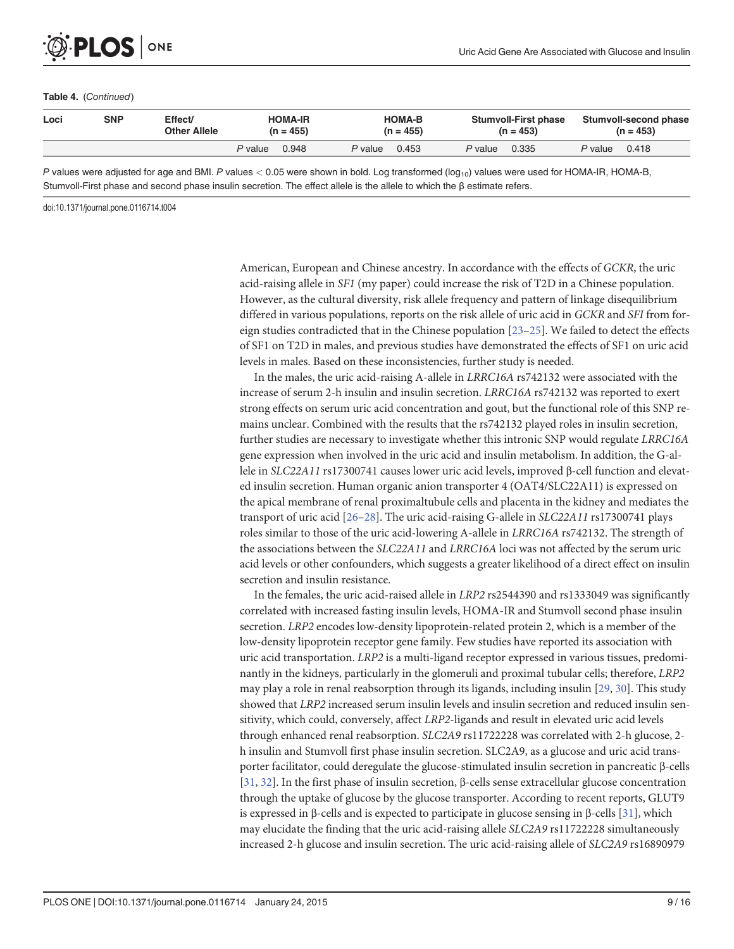#### Table 4. (Continued)

<span id="page-8-0"></span>**PLOS** I

ONE

| Loci | SNP | Effect/<br>Other Allele | <b>HOMA-IR</b><br>$(n = 455)$ | <b>HOMA-B</b><br>$(n = 455)$ | <b>Stumvoll-First phase</b><br>$(n = 453)$ | Stumvoll-second phase<br>$(n = 453)$ |  |  |
|------|-----|-------------------------|-------------------------------|------------------------------|--------------------------------------------|--------------------------------------|--|--|
|      |     |                         | 0.948<br>P value              | 0.453<br><i>P</i> value      | 0.335<br>P value                           | 0.418<br><i>P</i> value              |  |  |

P values were adjusted for age and BMI. P values  $<$  0.05 were shown in bold. Log transformed (log<sub>10</sub>) values were used for HOMA-IR, HOMA-B, Stumvoll-First phase and second phase insulin secretion. The effect allele is the allele to which the β estimate refers.

doi:10.1371/journal.pone.0116714.t004

American, European and Chinese ancestry. In accordance with the effects of GCKR, the uric acid-raising allele in SF1 (my paper) could increase the risk of T2D in a Chinese population. However, as the cultural diversity, risk allele frequency and pattern of linkage disequilibrium differed in various populations, reports on the risk allele of uric acid in GCKR and SFI from foreign studies contradicted that in the Chinese population  $[23-25]$  $[23-25]$  $[23-25]$  $[23-25]$ . We failed to detect the effects of SF1 on T2D in males, and previous studies have demonstrated the effects of SF1 on uric acid levels in males. Based on these inconsistencies, further study is needed.

In the males, the uric acid-raising A-allele in LRRC16A rs742132 were associated with the increase of serum 2-h insulin and insulin secretion. LRRC16A rs742132 was reported to exert strong effects on serum uric acid concentration and gout, but the functional role of this SNP remains unclear. Combined with the results that the rs742132 played roles in insulin secretion, further studies are necessary to investigate whether this intronic SNP would regulate LRRC16A gene expression when involved in the uric acid and insulin metabolism. In addition, the G-allele in SLC22A11 rs17300741 causes lower uric acid levels, improved β-cell function and elevated insulin secretion. Human organic anion transporter 4 (OAT4/SLC22A11) is expressed on the apical membrane of renal proximaltubule cells and placenta in the kidney and mediates the transport of uric acid [\[26](#page-14-0)–[28](#page-14-0)]. The uric acid-raising G-allele in SLC22A11 rs17300741 plays roles similar to those of the uric acid-lowering A-allele in LRRC16A rs742132. The strength of the associations between the SLC22A11 and LRRC16A loci was not affected by the serum uric acid levels or other confounders, which suggests a greater likelihood of a direct effect on insulin secretion and insulin resistance.

In the females, the uric acid-raised allele in LRP2 rs2544390 and rs1333049 was significantly correlated with increased fasting insulin levels, HOMA-IR and Stumvoll second phase insulin secretion. LRP2 encodes low-density lipoprotein-related protein 2, which is a member of the low-density lipoprotein receptor gene family. Few studies have reported its association with uric acid transportation. LRP2 is a multi-ligand receptor expressed in various tissues, predominantly in the kidneys, particularly in the glomeruli and proximal tubular cells; therefore, LRP2 may play a role in renal reabsorption through its ligands, including insulin [\[29,](#page-14-0) [30\]](#page-15-0). This study showed that LRP2 increased serum insulin levels and insulin secretion and reduced insulin sensitivity, which could, conversely, affect LRP2-ligands and result in elevated uric acid levels through enhanced renal reabsorption. SLC2A9 rs11722228 was correlated with 2-h glucose, 2 h insulin and Stumvoll first phase insulin secretion. SLC2A9, as a glucose and uric acid transporter facilitator, could deregulate the glucose-stimulated insulin secretion in pancreatic β-cells [\[31](#page-15-0), [32\]](#page-15-0). In the first phase of insulin secretion, β-cells sense extracellular glucose concentration through the uptake of glucose by the glucose transporter. According to recent reports, GLUT9 is expressed in β-cells and is expected to participate in glucose sensing in β-cells  $[31]$ , which may elucidate the finding that the uric acid-raising allele SLC2A9 rs11722228 simultaneously increased 2-h glucose and insulin secretion. The uric acid-raising allele of SLC2A9 rs16890979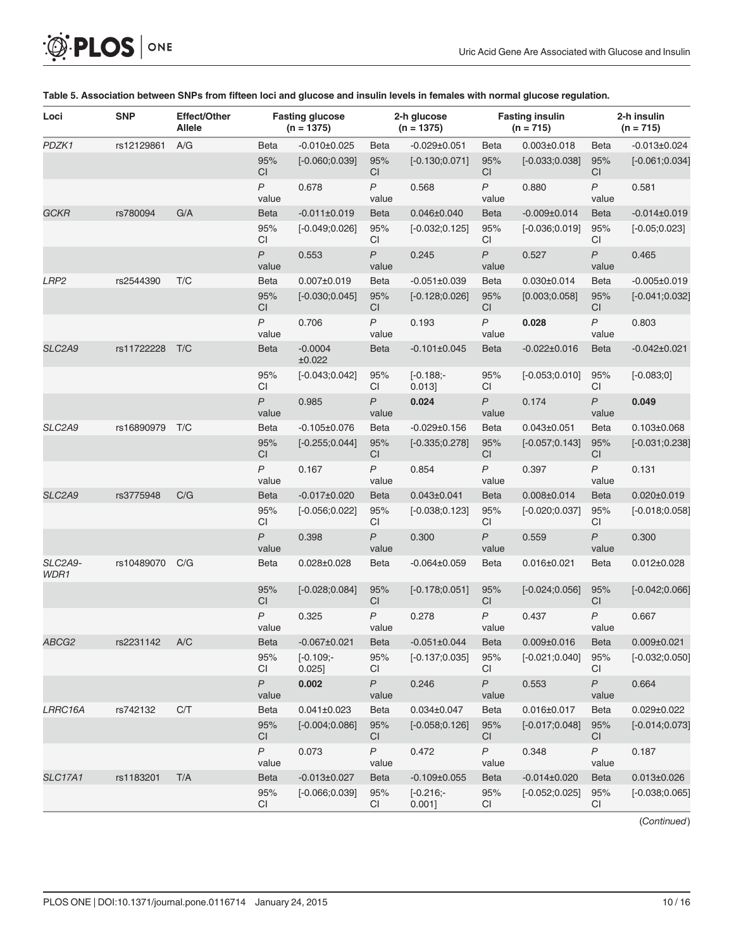<span id="page-9-0"></span>

| <b>O. PLOS</b> ONE |  |
|--------------------|--|
|--------------------|--|

| Loci            | <b>SNP</b> | Effect/Other<br><b>Allele</b> |                           | <b>Fasting glucose</b><br>$(n = 1375)$ |                           | 2-h glucose<br>$(n = 1375)$ |                         | <b>Fasting insulin</b><br>$(n = 715)$ |                           | 2-h insulin<br>$(n = 715)$ |
|-----------------|------------|-------------------------------|---------------------------|----------------------------------------|---------------------------|-----------------------------|-------------------------|---------------------------------------|---------------------------|----------------------------|
| PDZK1           | rs12129861 | A/G                           | <b>Beta</b>               | $-0.010\pm0.025$                       | Beta                      | $-0.029 \pm 0.051$          | <b>Beta</b>             | $0.003 \pm 0.018$                     | <b>Beta</b>               | $-0.013 \pm 0.024$         |
|                 |            |                               | 95%<br><b>CI</b>          | $[-0.060; 0.039]$                      | 95%<br><b>CI</b>          | $[-0.130;0.071]$            | 95%<br><b>CI</b>        | $[-0.033;0.038]$                      | 95%<br>CI                 | $[-0.061;0.034]$           |
|                 |            |                               | $\overline{P}$<br>value   | 0.678                                  | P<br>value                | 0.568                       | $\overline{P}$<br>value | 0.880                                 | $\overline{P}$<br>value   | 0.581                      |
| <b>GCKR</b>     | rs780094   | G/A                           | <b>Beta</b>               | $-0.011\pm0.019$                       | <b>Beta</b>               | 0.046±0.040                 | <b>Beta</b>             | $-0.009 \pm 0.014$                    | <b>Beta</b>               | $-0.014\pm0.019$           |
|                 |            |                               | 95%<br><b>CI</b>          | $[-0.049; 0.026]$                      | 95%<br>CI                 | $[-0.032;0.125]$            | 95%<br>CI               | $[-0.036;0.019]$                      | 95%<br>CI                 | $[-0.05;0.023]$            |
|                 |            |                               | $\boldsymbol{P}$<br>value | 0.553                                  | $\boldsymbol{P}$<br>value | 0.245                       | $\mathsf{P}$<br>value   | 0.527                                 | P<br>value                | 0.465                      |
| LRP2            | rs2544390  | T/C                           | <b>Beta</b>               | $0.007 \pm 0.019$                      | <b>Beta</b>               | $-0.051\pm0.039$            | <b>Beta</b>             | $0.030 \pm 0.014$                     | <b>Beta</b>               | $-0.005\pm0.019$           |
|                 |            |                               | 95%<br><b>CI</b>          | $[-0.030;0.045]$                       | 95%<br><b>CI</b>          | $[-0.128; 0.026]$           | 95%<br><b>CI</b>        | [0.003; 0.058]                        | 95%<br><b>CI</b>          | $[-0.041, 0.032]$          |
|                 |            |                               | $\mathsf{P}$<br>value     | 0.706                                  | $\overline{P}$<br>value   | 0.193                       | $\mathsf{P}$<br>value   | 0.028                                 | $\mathsf{P}$<br>value     | 0.803                      |
| SLC2A9          | rs11722228 | T/C                           | <b>Beta</b>               | $-0.0004$<br>±0.022                    | <b>Beta</b>               | $-0.101 \pm 0.045$          | <b>Beta</b>             | $-0.022 \pm 0.016$                    | <b>Beta</b>               | $-0.042\pm0.021$           |
|                 |            |                               | 95%<br>CI                 | $[-0.043;0.042]$                       | 95%<br><b>CI</b>          | $[-0.188]$<br>0.013]        | 95%<br>CI               | $[-0.053;0.010]$                      | 95%<br>CI                 | $[-0.083;0]$               |
|                 |            |                               | $\mathsf{P}$<br>value     | 0.985                                  | P<br>value                | 0.024                       | $\mathsf{P}$<br>value   | 0.174                                 | $\overline{P}$<br>value   | 0.049                      |
| SLC2A9          | rs16890979 | T/C                           | <b>Beta</b>               | $-0.105 \pm 0.076$                     | Beta                      | $-0.029 \pm 0.156$          | <b>Beta</b>             | $0.043 \pm 0.051$                     | Beta                      | $0.103 \pm 0.068$          |
|                 |            |                               | 95%<br>CI                 | $[-0.255; 0.044]$                      | 95%<br>CI                 | $[-0.335;0.278]$            | 95%<br>CI               | $[-0.057;0.143]$                      | 95%<br>CI                 | $[-0.031;0.238]$           |
|                 |            |                               | $\mathsf{P}$<br>value     | 0.167                                  | $\mathsf{P}$<br>value     | 0.854                       | $\mathsf{P}$<br>value   | 0.397                                 | $\overline{P}$<br>value   | 0.131                      |
| SLC2A9          | rs3775948  | C/G                           | <b>Beta</b>               | $-0.017 \pm 0.020$                     | <b>Beta</b>               | $0.043 \pm 0.041$           | <b>Beta</b>             | $0.008 \pm 0.014$                     | <b>Beta</b>               | $0.020 \pm 0.019$          |
|                 |            |                               | 95%<br><b>CI</b>          | $[-0.056; 0.022]$                      | 95%<br><b>CI</b>          | $[-0.038; 0.123]$           | 95%<br>CI               | $[-0.020;0.037]$                      | 95%<br><b>CI</b>          | $[-0.018; 0.058]$          |
|                 |            |                               | $\mathsf{P}$<br>value     | 0.398                                  | $\mathsf{P}$<br>value     | 0.300                       | $\mathsf{P}$<br>value   | 0.559                                 | $\mathsf{P}$<br>value     | 0.300                      |
| SLC2A9-<br>WDR1 | rs10489070 | C/G                           | <b>Beta</b>               | $0.028 \pm 0.028$                      | <b>Beta</b>               | $-0.064\pm0.059$            | <b>Beta</b>             | 0.016±0.021                           | <b>Beta</b>               | $0.012 \pm 0.028$          |
|                 |            |                               | 95%<br>СI                 | $[-0.028; 0.084]$                      | 95%<br><b>CI</b>          | $[-0.178;0.051]$            | 95%<br><b>CI</b>        | $[-0.024;0.056]$                      | 95%<br>CI                 | $[-0.042;0.066]$           |
|                 |            |                               | $\mathsf{P}$<br>value     | 0.325                                  | $\mathsf{P}$<br>value     | 0.278                       | $\mathsf{P}$<br>value   | 0.437                                 | $\boldsymbol{P}$<br>value | 0.667                      |
| ABCG2           | rs2231142  | A/C                           | <b>Beta</b>               | $-0.067 \pm 0.021$                     | <b>Beta</b>               | $-0.051 \pm 0.044$          | <b>Beta</b>             | $0.009 \pm 0.016$                     | <b>Beta</b>               | $0.009 \pm 0.021$          |
|                 |            |                               | 95%<br>CI.                | $[-0.109]$<br>0.025]                   | 95%<br>СI                 | $[-0.137;0.035]$            | 95%<br>СI               | $[-0.021;0.040]$                      | 95%<br>СI                 | $[-0.032;0.050]$           |
|                 |            |                               | $\boldsymbol{P}$<br>value | 0.002                                  | $\boldsymbol{P}$<br>value | 0.246                       | $\mathsf{P}$<br>value   | 0.553                                 | $\boldsymbol{P}$<br>value | 0.664                      |
| LRRC16A         | rs742132   | C/T                           | <b>Beta</b>               | $0.041 \pm 0.023$                      | <b>Beta</b>               | $0.034 \pm 0.047$           | <b>Beta</b>             | $0.016 \pm 0.017$                     | Beta                      | $0.029 \pm 0.022$          |
|                 |            |                               | 95%<br>CI                 | $[-0.004;0.086]$                       | 95%<br>CI                 | $[-0.058; 0.126]$           | 95%<br>CI               | $[-0.017;0.048]$                      | 95%<br>CI                 | $[-0.014; 0.073]$          |
|                 |            |                               | $\boldsymbol{P}$<br>value | 0.073                                  | P<br>value                | 0.472                       | P<br>value              | 0.348                                 | $\boldsymbol{P}$<br>value | 0.187                      |
| <b>SLC17A1</b>  | rs1183201  | T/A                           | Beta                      | $-0.013 \pm 0.027$                     | <b>Beta</b>               | $-0.109 \pm 0.055$          | <b>Beta</b>             | $-0.014 \pm 0.020$                    | <b>Beta</b>               | $0.013 \pm 0.026$          |
|                 |            |                               | 95%<br><b>CI</b>          | $[-0.066; 0.039]$                      | 95%<br><b>CI</b>          | $[-0.216; -]$<br>0.001]     | 95%<br>CI               | $[-0.052;0.025]$                      | 95%<br><b>CI</b>          | $[-0.038;0.065]$           |

#### [Table 5.](#page-3-0) Association between SNPs from fifteen loci and glucose and insulin levels in females with normal glucose regulation.

(Continued)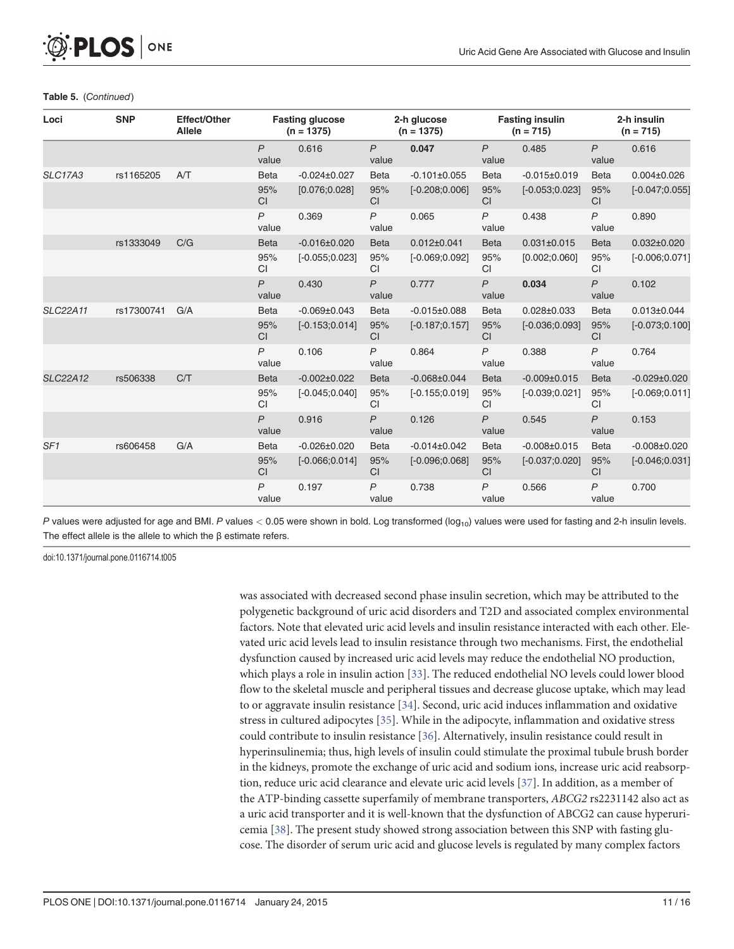#### Table 5. (Continued)

<span id="page-10-0"></span>**PLOS I** 

ONE

| Loci            | <b>SNP</b> | <b>Effect/Other</b><br><b>Allele</b> |                         | <b>Fasting glucose</b><br>$(n = 1375)$ | 2-h glucose<br>$(n = 1375)$ |                    | <b>Fasting insulin</b><br>$(n = 715)$ |                    | 2-h insulin<br>$(n = 715)$ |                    |
|-----------------|------------|--------------------------------------|-------------------------|----------------------------------------|-----------------------------|--------------------|---------------------------------------|--------------------|----------------------------|--------------------|
|                 |            |                                      | $\mathsf{P}$<br>value   | 0.616                                  | $\mathsf{P}$<br>value       | 0.047              | $\mathsf{P}$<br>value                 | 0.485              | $\overline{P}$<br>value    | 0.616              |
| <b>SLC17A3</b>  | rs1165205  | A/T                                  | <b>Beta</b>             | $-0.024 \pm 0.027$                     | <b>Beta</b>                 | $-0.101 \pm 0.055$ | <b>Beta</b>                           | $-0.015 \pm 0.019$ | <b>Beta</b>                | $0.004 \pm 0.026$  |
|                 |            |                                      | 95%<br>CI               | [0.076; 0.028]                         | 95%<br><b>CI</b>            | $[-0.208; 0.006]$  | 95%<br><b>CI</b>                      | $[-0.053;0.023]$   | 95%<br>CI                  | $[-0.047;0.055]$   |
|                 |            |                                      | $\mathsf{P}$<br>value   | 0.369                                  | $\mathsf{P}$<br>value       | 0.065              | $\mathsf{P}$<br>value                 | 0.438              | P<br>value                 | 0.890              |
|                 | rs1333049  | C/G                                  | <b>Beta</b>             | $-0.016 \pm 0.020$                     | <b>Beta</b>                 | $0.012 \pm 0.041$  | <b>Beta</b>                           | $0.031 \pm 0.015$  | <b>Beta</b>                | $0.032 \pm 0.020$  |
|                 |            |                                      | 95%<br><b>CI</b>        | $[-0.055;0.023]$                       | 95%<br>CI                   | $[-0.069; 0.092]$  | 95%<br>CI                             | [0.002; 0.060]     | 95%<br><b>CI</b>           | $[-0.006; 0.071]$  |
|                 |            |                                      | $\overline{P}$<br>value | 0.430                                  | P<br>value                  | 0.777              | $\mathsf{P}$<br>value                 | 0.034              | $\overline{P}$<br>value    | 0.102              |
| <b>SLC22A11</b> | rs17300741 | G/A                                  | <b>Beta</b>             | $-0.069 \pm 0.043$                     | <b>Beta</b>                 | $-0.015 \pm 0.088$ | <b>Beta</b>                           | $0.028 \pm 0.033$  | <b>Beta</b>                | $0.013 \pm 0.044$  |
|                 |            |                                      | 95%<br><b>CI</b>        | $[-0.153;0.014]$                       | 95%<br><b>CI</b>            | $[-0.187;0.157]$   | 95%<br><b>CI</b>                      | $[-0.036;0.093]$   | 95%<br>CI                  | $[-0.073;0.100]$   |
|                 |            |                                      | $\overline{P}$<br>value | 0.106                                  | $\overline{P}$<br>value     | 0.864              | P<br>value                            | 0.388              | $\overline{P}$<br>value    | 0.764              |
| <b>SLC22A12</b> | rs506338   | C/T                                  | <b>Beta</b>             | $-0.002\pm0.022$                       | <b>Beta</b>                 | $-0.068 \pm 0.044$ | <b>Beta</b>                           | $-0.009 \pm 0.015$ | <b>Beta</b>                | $-0.029 \pm 0.020$ |
|                 |            |                                      | 95%<br><b>CI</b>        | $[-0.045; 0.040]$                      | 95%<br>CI                   | $[-0.155;0.019]$   | 95%<br>CI                             | $[-0.039; 0.021]$  | 95%<br>CI                  | $[-0.069; 0.011]$  |
|                 |            |                                      | $\mathsf{P}$<br>value   | 0.916                                  | $\mathsf{P}$<br>value       | 0.126              | $\mathsf{P}$<br>value                 | 0.545              | $\overline{P}$<br>value    | 0.153              |
| SF <sub>1</sub> | rs606458   | G/A                                  | <b>Beta</b>             | $-0.026 \pm 0.020$                     | <b>Beta</b>                 | $-0.014\pm0.042$   | <b>Beta</b>                           | $-0.008 \pm 0.015$ | <b>Beta</b>                | $-0.008 \pm 0.020$ |
|                 |            |                                      | 95%<br><b>CI</b>        | $[-0.066; 0.014]$                      | 95%<br>CI                   | $[-0.096;0.068]$   | 95%<br><b>CI</b>                      | $[-0.037;0.020]$   | 95%<br><b>CI</b>           | $[-0.046; 0.031]$  |
|                 |            |                                      | $\mathsf{P}$<br>value   | 0.197                                  | $\mathsf{P}$<br>value       | 0.738              | $\mathsf{P}$<br>value                 | 0.566              | $\overline{P}$<br>value    | 0.700              |

P values were adjusted for age and BMI. P values  $< 0.05$  were shown in bold. Log transformed ( $log_{10}$ ) values were used for fasting and 2-h insulin levels. The effect allele is the allele to which the β estimate refers.

doi:10.1371/journal.pone.0116714.t005

was associated with decreased second phase insulin secretion, which may be attributed to the polygenetic background of uric acid disorders and T2D and associated complex environmental factors. Note that elevated uric acid levels and insulin resistance interacted with each other. Elevated uric acid levels lead to insulin resistance through two mechanisms. First, the endothelial dysfunction caused by increased uric acid levels may reduce the endothelial NO production, which plays a role in insulin action [\[33\]](#page-15-0). The reduced endothelial NO levels could lower blood flow to the skeletal muscle and peripheral tissues and decrease glucose uptake, which may lead to or aggravate insulin resistance [\[34\]](#page-15-0). Second, uric acid induces inflammation and oxidative stress in cultured adipocytes [\[35\]](#page-15-0). While in the adipocyte, inflammation and oxidative stress could contribute to insulin resistance [\[36\]](#page-15-0). Alternatively, insulin resistance could result in hyperinsulinemia; thus, high levels of insulin could stimulate the proximal tubule brush border in the kidneys, promote the exchange of uric acid and sodium ions, increase uric acid reabsorption, reduce uric acid clearance and elevate uric acid levels [[37\]](#page-15-0). In addition, as a member of the ATP-binding cassette superfamily of membrane transporters, ABCG2 rs2231142 also act as a uric acid transporter and it is well-known that the dysfunction of ABCG2 can cause hyperuricemia [\[38\]](#page-15-0). The present study showed strong association between this SNP with fasting glucose. The disorder of serum uric acid and glucose levels is regulated by many complex factors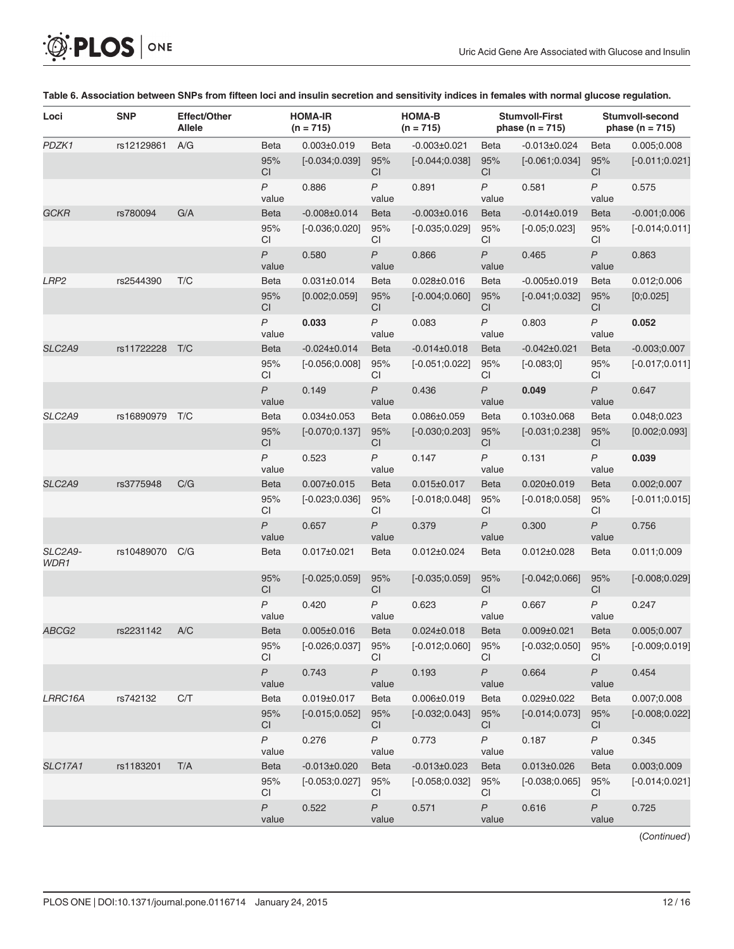| Loci            | <b>SNP</b> | <b>Effect/Other</b><br>Allele |                           | <b>HOMA-IR</b><br>$(n = 715)$ |                           | <b>HOMA-B</b><br>$(n = 715)$ |                         | <b>Stumvoll-First</b><br>phase ( $n = 715$ ) |                           | Stumvoll-second<br>phase ( $n = 715$ ) |
|-----------------|------------|-------------------------------|---------------------------|-------------------------------|---------------------------|------------------------------|-------------------------|----------------------------------------------|---------------------------|----------------------------------------|
| PDZK1           | rs12129861 | A/G                           | Beta                      | $0.003 \pm 0.019$             | <b>Beta</b>               | $-0.003 \pm 0.021$           | <b>Beta</b>             | $-0.013 \pm 0.024$                           | <b>Beta</b>               | 0.005;0.008                            |
|                 |            |                               | 95%<br>CI                 | $[-0.034;0.039]$              | 95%<br>CI.                | $[-0.044; 0.038]$            | 95%<br>СI               | $[-0.061;0.034]$                             | 95%<br><b>CI</b>          | $[-0.011;0.021]$                       |
|                 |            |                               | $\overline{P}$<br>value   | 0.886                         | $\mathsf{P}$<br>value     | 0.891                        | $\mathsf{P}$<br>value   | 0.581                                        | P<br>value                | 0.575                                  |
| <b>GCKR</b>     | rs780094   | G/A                           | <b>Beta</b>               | $-0.008 \pm 0.014$            | <b>Beta</b>               | $-0.003 \pm 0.016$           | <b>Beta</b>             | $-0.014\pm0.019$                             | <b>Beta</b>               | $-0.001;0.006$                         |
|                 |            |                               | 95%<br>CI                 | $[-0.036;0.020]$              | 95%<br><b>CI</b>          | $[-0.035;0.029]$             | 95%<br>СI               | $[-0.05;0.023]$                              | 95%<br>CI                 | $[-0.014;0.011]$                       |
|                 |            |                               | $\overline{P}$<br>value   | 0.580                         | $\overline{P}$<br>value   | 0.866                        | $\overline{P}$<br>value | 0.465                                        | $\overline{P}$<br>value   | 0.863                                  |
| LRP2            | rs2544390  | T/C                           | Beta                      | $0.031 \pm 0.014$             | <b>Beta</b>               | $0.028 \pm 0.016$            | <b>Beta</b>             | $-0.005 \pm 0.019$                           | <b>Beta</b>               | 0.012;0.006                            |
|                 |            |                               | 95%<br>CI                 | [0.002; 0.059]                | 95%<br>CI.                | $[-0.004;0.060]$             | 95%<br>CI.              | $[-0.041;0.032]$                             | 95%<br>CI                 | [0;0.025]                              |
|                 |            |                               | $\overline{P}$<br>value   | 0.033                         | $\mathsf{P}$<br>value     | 0.083                        | P<br>value              | 0.803                                        | P<br>value                | 0.052                                  |
| SLC2A9          | rs11722228 | T/C                           | <b>Beta</b>               | $-0.024 \pm 0.014$            | <b>Beta</b>               | $-0.014\pm0.018$             | <b>Beta</b>             | $-0.042\pm0.021$                             | <b>Beta</b>               | $-0.003;0.007$                         |
|                 |            |                               | 95%<br>CI                 | $[-0.056; 0.008]$             | 95%<br><b>CI</b>          | $[-0.051;0.022]$             | 95%<br>СI               | $[-0.083;0]$                                 | 95%<br>СI                 | $[-0.017;0.011]$                       |
|                 |            |                               | $\mathsf{P}$<br>value     | 0.149                         | $\mathsf{P}$<br>value     | 0.436                        | P<br>value              | 0.049                                        | $\mathsf{P}$<br>value     | 0.647                                  |
| SLC2A9          | rs16890979 | T/C                           | <b>Beta</b>               | $0.034 \pm 0.053$             | <b>Beta</b>               | $0.086 \pm 0.059$            | <b>Beta</b>             | $0.103 \pm 0.068$                            | <b>Beta</b>               | 0.048;0.023                            |
|                 |            |                               | 95%<br>CI                 | $[-0.070;0.137]$              | 95%<br>CI.                | $[-0.030;0.203]$             | 95%<br>СI               | $[-0.031;0.238]$                             | 95%<br><b>CI</b>          | [0.002; 0.093]                         |
|                 |            |                               | $\overline{P}$<br>value   | 0.523                         | $\overline{P}$<br>value   | 0.147                        | P<br>value              | 0.131                                        | $\overline{P}$<br>value   | 0.039                                  |
| SLC2A9          | rs3775948  | C/G                           | <b>Beta</b>               | $0.007 \pm 0.015$             | <b>Beta</b>               | 0.015±0.017                  | <b>Beta</b>             | $0.020 \pm 0.019$                            | Beta                      | 0.002;0.007                            |
|                 |            |                               | 95%<br>CI                 | $[-0.023;0.036]$              | 95%<br><b>CI</b>          | $[-0.018;0.048]$             | 95%<br>СI               | $[-0.018;0.058]$                             | 95%<br><b>CI</b>          | $[-0.011;0.015]$                       |
|                 |            |                               | $\mathsf{P}$<br>value     | 0.657                         | $\mathsf{P}$<br>value     | 0.379                        | P<br>value              | 0.300                                        | $\mathsf{P}$<br>value     | 0.756                                  |
| SLC2A9-<br>WDR1 | rs10489070 | C/G                           | Beta                      | $0.017 \pm 0.021$             | <b>Beta</b>               | $0.012 \pm 0.024$            | <b>Beta</b>             | $0.012 \pm 0.028$                            | <b>Beta</b>               | 0.011;0.009                            |
|                 |            |                               | 95%<br>CI                 | $[-0.025;0.059]$              | 95%<br><b>CI</b>          | $[-0.035;0.059]$             | 95%<br>СI               | $[-0.042;0.066]$                             | 95%<br>CI                 | $[-0.008;0.029]$                       |
|                 |            |                               | $\mathsf{P}$<br>value     | 0.420                         | $\mathsf{P}$<br>value     | 0.623                        | P<br>value              | 0.667                                        | P<br>value                | 0.247                                  |
| ABCG2           | rs2231142  | A/C                           | Beta                      | $0.005 \pm 0.016$             | <b>Beta</b>               | $0.024 \pm 0.018$            | <b>Beta</b>             | $0.009 \pm 0.021$                            | Beta                      | 0.005;0.007                            |
|                 |            |                               | 95%<br>CI                 | $[-0.026; 0.037]$             | 95%<br>CI                 | $[-0.012;0.060]$ 95%         | СI                      | $[-0.032;0.050]$                             | 95%<br>CI.                | $[-0.009;0.019]$                       |
|                 |            |                               | $\overline{P}$<br>value   | 0.743                         | $\boldsymbol{P}$<br>value | 0.193                        | $\mathsf{P}$<br>value   | 0.664                                        | $\overline{P}$<br>value   | 0.454                                  |
| LRRC16A         | rs742132   | C/T                           | Beta                      | $0.019 \pm 0.017$             | Beta                      | $0.006 \pm 0.019$            | Beta                    | $0.029 \pm 0.022$                            | <b>Beta</b>               | 0.007;0.008                            |
|                 |            |                               | 95%<br>CI                 | $[-0.015;0.052]$              | 95%<br>CI.                | $[-0.032;0.043]$             | 95%<br>CI               | $[-0.014;0.073]$                             | 95%<br><b>CI</b>          | $[-0.008; 0.022]$                      |
|                 |            |                               | $\boldsymbol{P}$<br>value | 0.276                         | P<br>value                | 0.773                        | P<br>value              | 0.187                                        | P<br>value                | 0.345                                  |
| <b>SLC17A1</b>  | rs1183201  | T/A                           | Beta                      | $-0.013 \pm 0.020$            | Beta                      | $-0.013 \pm 0.023$           | <b>Beta</b>             | $0.013 \pm 0.026$                            | <b>Beta</b>               | 0.003;0.009                            |
|                 |            |                               | 95%<br>СI                 | $[-0.053;0.027]$              | 95%<br>CI.                | $[-0.058; 0.032]$            | 95%<br>СI               | $[-0.038; 0.065]$                            | 95%<br>CI                 | $[-0.014;0.021]$                       |
|                 |            |                               | P<br>value                | 0.522                         | $\boldsymbol{P}$<br>value | 0.571                        | P<br>value              | 0.616                                        | $\boldsymbol{P}$<br>value | 0.725                                  |

#### [Table 6.](#page-3-0) Association between SNPs from fifteen loci and insulin secretion and sensitivity indices in females with normal glucose regulation.

(Continued)

<span id="page-11-0"></span>**OF PLOS** ONE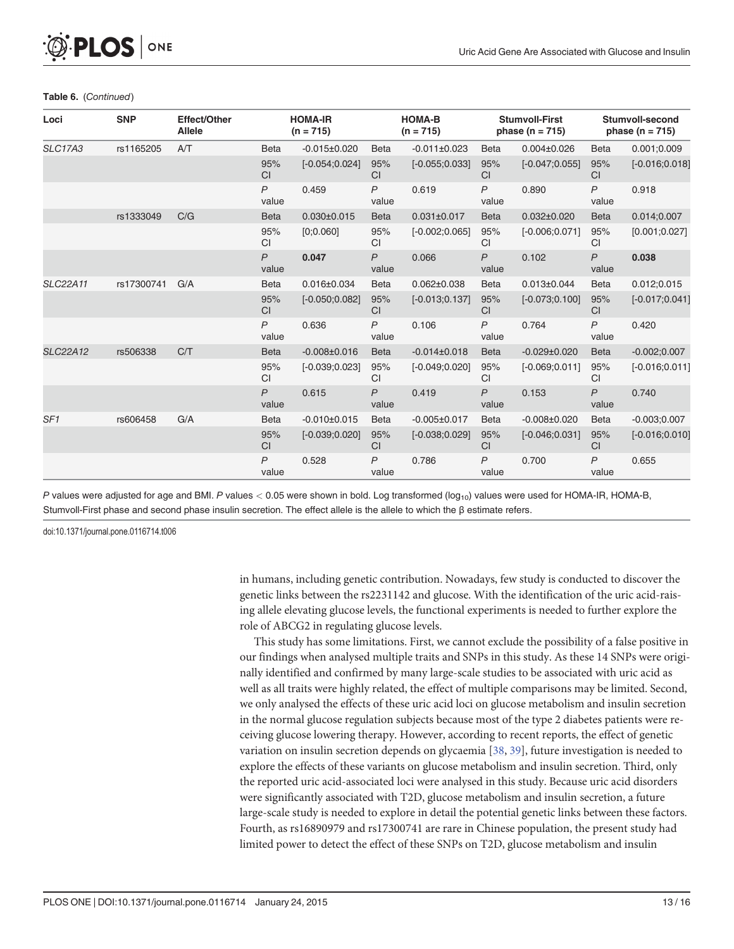#### <span id="page-12-0"></span>Table 6. (Continued)

| Loci            | <b>SNP</b> | Effect/Other<br><b>Allele</b> |                         | <b>HOMA-IR</b><br>$(n = 715)$ |                       | <b>HOMA-B</b><br>$(n = 715)$ |                       | <b>Stumvoll-First</b><br>phase $(n = 715)$ | <b>Stumvoll-second</b><br>phase ( $n = 715$ ) |                   |
|-----------------|------------|-------------------------------|-------------------------|-------------------------------|-----------------------|------------------------------|-----------------------|--------------------------------------------|-----------------------------------------------|-------------------|
| <b>SLC17A3</b>  | rs1165205  | A/T                           | <b>Beta</b>             | $-0.015 \pm 0.020$            | <b>Beta</b>           | $-0.011\pm0.023$             | <b>Beta</b>           | $0.004 \pm 0.026$                          | <b>Beta</b>                                   | 0.001;0.009       |
|                 |            |                               | 95%<br><b>CI</b>        | $[-0.054;0.024]$              | 95%<br><b>CI</b>      | $[-0.055;0.033]$             | 95%<br><b>CI</b>      | $[-0.047;0.055]$                           | 95%<br><b>CI</b>                              | $[-0.016;0.018]$  |
|                 |            |                               | P<br>value              | 0.459                         | $\mathsf{P}$<br>value | 0.619                        | $\mathsf{P}$<br>value | 0.890                                      | $\mathsf{P}$<br>value                         | 0.918             |
|                 | rs1333049  | C/G                           | <b>Beta</b>             | $0.030 \pm 0.015$             | <b>Beta</b>           | $0.031 \pm 0.017$            | <b>Beta</b>           | $0.032 \pm 0.020$                          | <b>Beta</b>                                   | 0.014;0.007       |
|                 |            |                               | 95%<br>CI               | [0;0.060]                     | 95%<br><b>CI</b>      | $[-0.002;0.065]$             | 95%<br><b>CI</b>      | $[-0.006;0.071]$                           | 95%<br><b>CI</b>                              | [0.001; 0.027]    |
|                 |            |                               | $\overline{P}$<br>value | 0.047                         | $\mathsf{P}$<br>value | 0.066                        | $\mathsf{P}$<br>value | 0.102                                      | $\mathsf{P}$<br>value                         | 0.038             |
| <b>SLC22A11</b> | rs17300741 | G/A                           | <b>Beta</b>             | $0.016 \pm 0.034$             | <b>Beta</b>           | $0.062 \pm 0.038$            | <b>Beta</b>           | $0.013 \pm 0.044$                          | <b>Beta</b>                                   | 0.012;0.015       |
|                 |            |                               | 95%<br>CI               | $[-0.050;0.082]$              | 95%<br><b>CI</b>      | $[-0.013;0.137]$             | 95%<br><b>CI</b>      | $[-0.073;0.100]$                           | 95%<br><b>CI</b>                              | $[-0.017;0.041]$  |
|                 |            |                               | P<br>value              | 0.636                         | $\mathsf{P}$<br>value | 0.106                        | $\mathsf{P}$<br>value | 0.764                                      | $\mathsf{P}$<br>value                         | 0.420             |
| <b>SLC22A12</b> | rs506338   | C/T                           | <b>Beta</b>             | $-0.008 \pm 0.016$            | <b>Beta</b>           | $-0.014\pm0.018$             | <b>Beta</b>           | $-0.029 \pm 0.020$                         | <b>Beta</b>                                   | $-0.002;0.007$    |
|                 |            |                               | 95%<br>CI               | $[-0.039; 0.023]$             | 95%<br><b>CI</b>      | $[-0.049; 0.020]$            | 95%<br><b>CI</b>      | $[-0.069; 0.011]$                          | 95%<br><b>CI</b>                              | $[-0.016; 0.011]$ |
|                 |            |                               | $\overline{P}$<br>value | 0.615                         | $\mathsf{P}$<br>value | 0.419                        | $\mathsf{P}$<br>value | 0.153                                      | $\overline{P}$<br>value                       | 0.740             |
| SF <sub>1</sub> | rs606458   | G/A                           | <b>Beta</b>             | $-0.010\pm0.015$              | <b>Beta</b>           | $-0.005 \pm 0.017$           | <b>Beta</b>           | $-0.008 \pm 0.020$                         | <b>Beta</b>                                   | $-0.003;0.007$    |
|                 |            |                               | 95%<br><b>CI</b>        | $[-0.039; 0.020]$             | 95%<br><b>CI</b>      | $[-0.038;0.029]$             | 95%<br><b>CI</b>      | $[-0.046; 0.031]$                          | 95%<br><b>CI</b>                              | $[-0.016; 0.010]$ |
|                 |            |                               | P<br>value              | 0.528                         | $\mathsf{P}$<br>value | 0.786                        | $\mathsf{P}$<br>value | 0.700                                      | P<br>value                                    | 0.655             |

P values were adjusted for age and BMI. P values < 0.05 were shown in bold. Log transformed  $(log_{10})$  values were used for HOMA-IR, HOMA-B, Stumvoll-First phase and second phase insulin secretion. The effect allele is the allele to which the β estimate refers.

doi:10.1371/journal.pone.0116714.t006

in humans, including genetic contribution. Nowadays, few study is conducted to discover the genetic links between the rs2231142 and glucose. With the identification of the uric acid-raising allele elevating glucose levels, the functional experiments is needed to further explore the role of ABCG2 in regulating glucose levels.

This study has some limitations. First, we cannot exclude the possibility of a false positive in our findings when analysed multiple traits and SNPs in this study. As these 14 SNPs were originally identified and confirmed by many large-scale studies to be associated with uric acid as well as all traits were highly related, the effect of multiple comparisons may be limited. Second, we only analysed the effects of these uric acid loci on glucose metabolism and insulin secretion in the normal glucose regulation subjects because most of the type 2 diabetes patients were receiving glucose lowering therapy. However, according to recent reports, the effect of genetic variation on insulin secretion depends on glycaemia [\[38,](#page-15-0) [39\]](#page-15-0), future investigation is needed to explore the effects of these variants on glucose metabolism and insulin secretion. Third, only the reported uric acid-associated loci were analysed in this study. Because uric acid disorders were significantly associated with T2D, glucose metabolism and insulin secretion, a future large-scale study is needed to explore in detail the potential genetic links between these factors. Fourth, as rs16890979 and rs17300741 are rare in Chinese population, the present study had limited power to detect the effect of these SNPs on T2D, glucose metabolism and insulin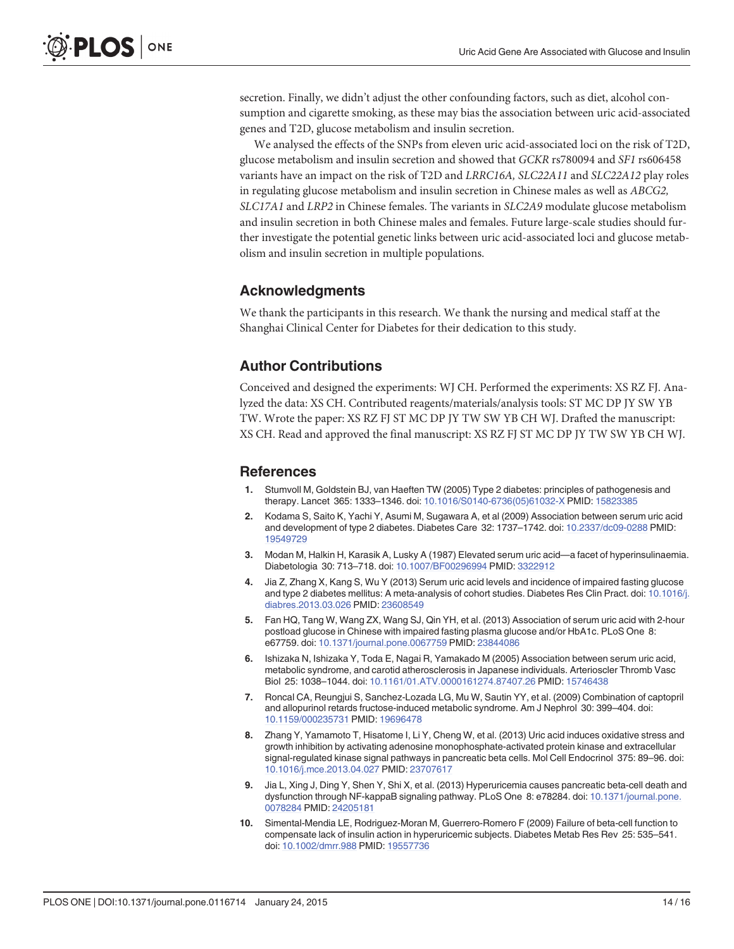<span id="page-13-0"></span>secretion. Finally, we didn't adjust the other confounding factors, such as diet, alcohol consumption and cigarette smoking, as these may bias the association between uric acid-associated genes and T2D, glucose metabolism and insulin secretion.

We analysed the effects of the SNPs from eleven uric acid-associated loci on the risk of T2D, glucose metabolism and insulin secretion and showed that GCKR rs780094 and SF1 rs606458 variants have an impact on the risk of T2D and LRRC16A, SLC22A11 and SLC22A12 play roles in regulating glucose metabolism and insulin secretion in Chinese males as well as ABCG2, SLC17A1 and LRP2 in Chinese females. The variants in SLC2A9 modulate glucose metabolism and insulin secretion in both Chinese males and females. Future large-scale studies should further investigate the potential genetic links between uric acid-associated loci and glucose metabolism and insulin secretion in multiple populations.

### Acknowledgments

We thank the participants in this research. We thank the nursing and medical staff at the Shanghai Clinical Center for Diabetes for their dedication to this study.

### Author Contributions

Conceived and designed the experiments: WJ CH. Performed the experiments: XS RZ FJ. Analyzed the data: XS CH. Contributed reagents/materials/analysis tools: ST MC DP JY SW YB TW. Wrote the paper: XS RZ FJ ST MC DP JY TW SW YB CH WJ. Drafted the manuscript: XS CH. Read and approved the final manuscript: XS RZ FJ ST MC DP JY TW SW YB CH WJ.

#### References

- [1.](#page-1-0) Stumvoll M, Goldstein BJ, van Haeften TW (2005) Type 2 diabetes: principles of pathogenesis and therapy. Lancet 365: 1333–1346. doi: [10.1016/S0140-6736\(05\)61032-X](http://dx.doi.org/10.1016/S0140-6736(05)61032-X) PMID: [15823385](http://www.ncbi.nlm.nih.gov/pubmed/15823385)
- [2.](#page-1-0) Kodama S, Saito K, Yachi Y, Asumi M, Sugawara A, et al (2009) Association between serum uric acid and development of type 2 diabetes. Diabetes Care 32: 1737–1742. doi: [10.2337/dc09-0288](http://dx.doi.org/10.2337/dc09-0288) PMID: [19549729](http://www.ncbi.nlm.nih.gov/pubmed/19549729)
- [3.](#page-1-0) Modan M, Halkin H, Karasik A, Lusky A (1987) Elevated serum uric acid—a facet of hyperinsulinaemia. Diabetologia 30: 713–718. doi: [10.1007/BF00296994](http://dx.doi.org/10.1007/BF00296994) PMID: [3322912](http://www.ncbi.nlm.nih.gov/pubmed/3322912)
- [4.](#page-1-0) Jia Z, Zhang X, Kang S, Wu Y (2013) Serum uric acid levels and incidence of impaired fasting glucose and type 2 diabetes mellitus: A meta-analysis of cohort studies. Diabetes Res Clin Pract. doi: [10.1016/j.](http://dx.doi.org/10.1016/j.diabres.2013.03.026) [diabres.2013.03.026](http://dx.doi.org/10.1016/j.diabres.2013.03.026) PMID: [23608549](http://www.ncbi.nlm.nih.gov/pubmed/23608549)
- [5.](#page-1-0) Fan HQ, Tang W, Wang ZX, Wang SJ, Qin YH, et al. (2013) Association of serum uric acid with 2-hour postload glucose in Chinese with impaired fasting plasma glucose and/or HbA1c. PLoS One 8: e67759. doi: [10.1371/journal.pone.0067759](http://dx.doi.org/10.1371/journal.pone.0067759) PMID: [23844086](http://www.ncbi.nlm.nih.gov/pubmed/23844086)
- [6.](#page-1-0) Ishizaka N, Ishizaka Y, Toda E, Nagai R, Yamakado M (2005) Association between serum uric acid, metabolic syndrome, and carotid atherosclerosis in Japanese individuals. Arterioscler Thromb Vasc Biol 25: 1038–1044. doi: [10.1161/01.ATV.0000161274.87407.26](http://dx.doi.org/10.1161/01.ATV.0000161274.87407.26) PMID: [15746438](http://www.ncbi.nlm.nih.gov/pubmed/15746438)
- [7.](#page-1-0) Roncal CA, Reungjui S, Sanchez-Lozada LG, Mu W, Sautin YY, et al. (2009) Combination of captopril and allopurinol retards fructose-induced metabolic syndrome. Am J Nephrol 30: 399–404. doi: [10.1159/000235731](http://dx.doi.org/10.1159/000235731) PMID: [19696478](http://www.ncbi.nlm.nih.gov/pubmed/19696478)
- [8.](#page-1-0) Zhang Y, Yamamoto T, Hisatome I, Li Y, Cheng W, et al. (2013) Uric acid induces oxidative stress and growth inhibition by activating adenosine monophosphate-activated protein kinase and extracellular signal-regulated kinase signal pathways in pancreatic beta cells. Mol Cell Endocrinol 375: 89–96. doi: [10.1016/j.mce.2013.04.027](http://dx.doi.org/10.1016/j.mce.2013.04.027) PMID: [23707617](http://www.ncbi.nlm.nih.gov/pubmed/23707617)
- [9.](#page-1-0) Jia L, Xing J, Ding Y, Shen Y, Shi X, et al. (2013) Hyperuricemia causes pancreatic beta-cell death and dysfunction through NF-kappaB signaling pathway. PLoS One 8: e78284. doi: [10.1371/journal.pone.](http://dx.doi.org/10.1371/journal.pone.0078284) [0078284](http://dx.doi.org/10.1371/journal.pone.0078284) PMID: [24205181](http://www.ncbi.nlm.nih.gov/pubmed/24205181)
- [10.](#page-1-0) Simental-Mendia LE, Rodriguez-Moran M, Guerrero-Romero F (2009) Failure of beta-cell function to compensate lack of insulin action in hyperuricemic subjects. Diabetes Metab Res Rev 25: 535–541. doi: [10.1002/dmrr.988](http://dx.doi.org/10.1002/dmrr.988) PMID: [19557736](http://www.ncbi.nlm.nih.gov/pubmed/19557736)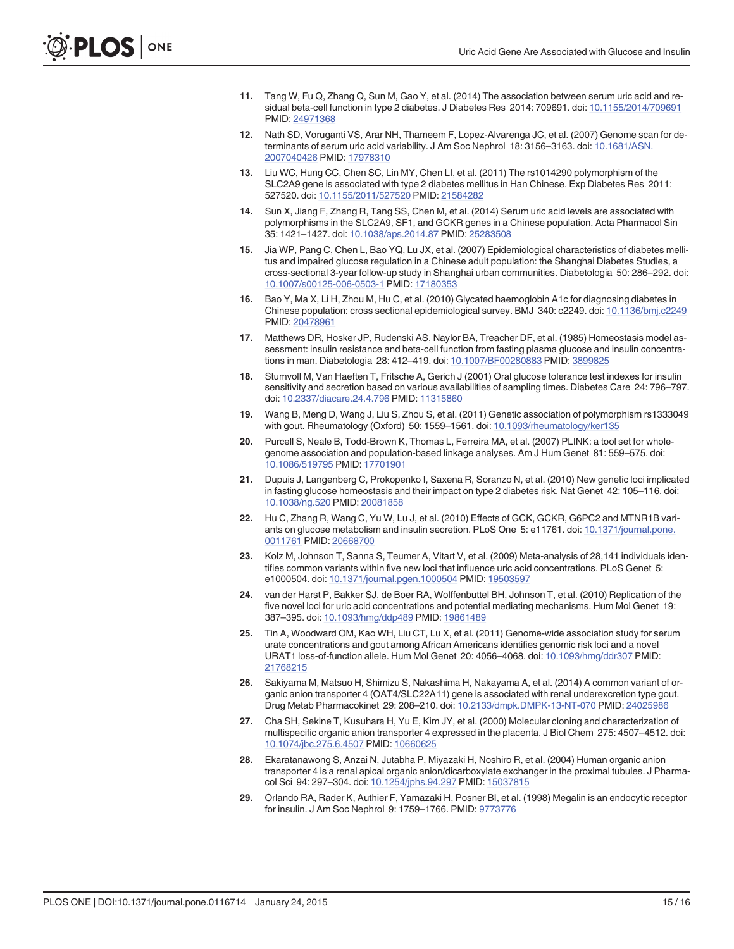- <span id="page-14-0"></span>[11.](#page-1-0) Tang W, Fu Q, Zhang Q, Sun M, Gao Y, et al. (2014) The association between serum uric acid and residual beta-cell function in type 2 diabetes. J Diabetes Res 2014: 709691. doi: [10.1155/2014/709691](http://dx.doi.org/10.1155/2014/709691) PMID: [24971368](http://www.ncbi.nlm.nih.gov/pubmed/24971368)
- [12.](#page-1-0) Nath SD, Voruganti VS, Arar NH, Thameem F, Lopez-Alvarenga JC, et al. (2007) Genome scan for determinants of serum uric acid variability. J Am Soc Nephrol 18: 3156–3163. doi: [10.1681/ASN.](http://dx.doi.org/10.1681/ASN.2007040426) [2007040426](http://dx.doi.org/10.1681/ASN.2007040426) PMID: [17978310](http://www.ncbi.nlm.nih.gov/pubmed/17978310)
- [13.](#page-1-0) Liu WC, Hung CC, Chen SC, Lin MY, Chen LI, et al. (2011) The rs1014290 polymorphism of the SLC2A9 gene is associated with type 2 diabetes mellitus in Han Chinese. Exp Diabetes Res 2011: 527520. doi: [10.1155/2011/527520](http://dx.doi.org/10.1155/2011/527520) PMID: [21584282](http://www.ncbi.nlm.nih.gov/pubmed/21584282)
- [14.](#page-1-0) Sun X, Jiang F, Zhang R, Tang SS, Chen M, et al. (2014) Serum uric acid levels are associated with polymorphisms in the SLC2A9, SF1, and GCKR genes in a Chinese population. Acta Pharmacol Sin 35: 1421–1427. doi: [10.1038/aps.2014.87](http://dx.doi.org/10.1038/aps.2014.87) PMID: [25283508](http://www.ncbi.nlm.nih.gov/pubmed/25283508)
- [15.](#page-1-0) Jia WP, Pang C, Chen L, Bao YQ, Lu JX, et al. (2007) Epidemiological characteristics of diabetes mellitus and impaired glucose regulation in a Chinese adult population: the Shanghai Diabetes Studies, a cross-sectional 3-year follow-up study in Shanghai urban communities. Diabetologia 50: 286–292. doi: [10.1007/s00125-006-0503-1](http://dx.doi.org/10.1007/s00125-006-0503-1) PMID: [17180353](http://www.ncbi.nlm.nih.gov/pubmed/17180353)
- [16.](#page-1-0) Bao Y, Ma X, Li H, Zhou M, Hu C, et al. (2010) Glycated haemoglobin A1c for diagnosing diabetes in Chinese population: cross sectional epidemiological survey. BMJ 340: c2249. doi: [10.1136/bmj.c2249](http://dx.doi.org/10.1136/bmj.c2249) PMID: [20478961](http://www.ncbi.nlm.nih.gov/pubmed/20478961)
- [17.](#page-2-0) Matthews DR, Hosker JP, Rudenski AS, Naylor BA, Treacher DF, et al. (1985) Homeostasis model assessment: insulin resistance and beta-cell function from fasting plasma glucose and insulin concentrations in man. Diabetologia 28: 412–419. doi: [10.1007/BF00280883](http://dx.doi.org/10.1007/BF00280883) PMID: [3899825](http://www.ncbi.nlm.nih.gov/pubmed/3899825)
- [18.](#page-2-0) Stumvoll M, Van Haeften T, Fritsche A, Gerich J (2001) Oral glucose tolerance test indexes for insulin sensitivity and secretion based on various availabilities of sampling times. Diabetes Care 24: 796–797. doi: [10.2337/diacare.24.4.796](http://dx.doi.org/10.2337/diacare.24.4.796) PMID: [11315860](http://www.ncbi.nlm.nih.gov/pubmed/11315860)
- [19.](#page-2-0) Wang B, Meng D, Wang J, Liu S, Zhou S, et al. (2011) Genetic association of polymorphism rs1333049 with gout. Rheumatology (Oxford) 50: 1559-1561. doi: [10.1093/rheumatology/ker135](http://dx.doi.org/10.1093/rheumatology/ker135)
- [20.](#page-2-0) Purcell S, Neale B, Todd-Brown K, Thomas L, Ferreira MA, et al. (2007) PLINK: a tool set for wholegenome association and population-based linkage analyses. Am J Hum Genet 81: 559–575. doi: [10.1086/519795](http://dx.doi.org/10.1086/519795) PMID: [17701901](http://www.ncbi.nlm.nih.gov/pubmed/17701901)
- [21.](#page-6-0) Dupuis J, Langenberg C, Prokopenko I, Saxena R, Soranzo N, et al. (2010) New genetic loci implicated in fasting glucose homeostasis and their impact on type 2 diabetes risk. Nat Genet 42: 105–116. doi: [10.1038/ng.520](http://dx.doi.org/10.1038/ng.520) PMID: [20081858](http://www.ncbi.nlm.nih.gov/pubmed/20081858)
- [22.](#page-6-0) Hu C, Zhang R, Wang C, Yu W, Lu J, et al. (2010) Effects of GCK, GCKR, G6PC2 and MTNR1B variants on glucose metabolism and insulin secretion. PLoS One 5: e11761. doi: [10.1371/journal.pone.](http://dx.doi.org/10.1371/journal.pone.0011761) [0011761](http://dx.doi.org/10.1371/journal.pone.0011761) PMID: [20668700](http://www.ncbi.nlm.nih.gov/pubmed/20668700)
- [23.](#page-6-0) Kolz M, Johnson T, Sanna S, Teumer A, Vitart V, et al. (2009) Meta-analysis of 28,141 individuals identifies common variants within five new loci that influence uric acid concentrations. PLoS Genet 5: e1000504. doi: [10.1371/journal.pgen.1000504](http://dx.doi.org/10.1371/journal.pgen.1000504) PMID: [19503597](http://www.ncbi.nlm.nih.gov/pubmed/19503597)
- [24.](#page-6-0) van der Harst P, Bakker SJ, de Boer RA, Wolffenbuttel BH, Johnson T, et al. (2010) Replication of the five novel loci for uric acid concentrations and potential mediating mechanisms. Hum Mol Genet 19: 387–395. doi: [10.1093/hmg/ddp489](http://dx.doi.org/10.1093/hmg/ddp489) PMID: [19861489](http://www.ncbi.nlm.nih.gov/pubmed/19861489)
- [25.](#page-8-0) Tin A, Woodward OM, Kao WH, Liu CT, Lu X, et al. (2011) Genome-wide association study for serum urate concentrations and gout among African Americans identifies genomic risk loci and a novel URAT1 loss-of-function allele. Hum Mol Genet 20: 4056–4068. doi: [10.1093/hmg/ddr307](http://dx.doi.org/10.1093/hmg/ddr307) PMID: [21768215](http://www.ncbi.nlm.nih.gov/pubmed/21768215)
- [26.](#page-8-0) Sakiyama M, Matsuo H, Shimizu S, Nakashima H, Nakayama A, et al. (2014) A common variant of organic anion transporter 4 (OAT4/SLC22A11) gene is associated with renal underexcretion type gout. Drug Metab Pharmacokinet 29: 208–210. doi: [10.2133/dmpk.DMPK-13-NT-070](http://dx.doi.org/10.2133/dmpk.DMPK-13-NT-070) PMID: [24025986](http://www.ncbi.nlm.nih.gov/pubmed/24025986)
- 27. Cha SH, Sekine T, Kusuhara H, Yu E, Kim JY, et al. (2000) Molecular cloning and characterization of multispecific organic anion transporter 4 expressed in the placenta. J Biol Chem 275: 4507–4512. doi: [10.1074/jbc.275.6.4507](http://dx.doi.org/10.1074/jbc.275.6.4507) PMID: [10660625](http://www.ncbi.nlm.nih.gov/pubmed/10660625)
- [28.](#page-8-0) Ekaratanawong S, Anzai N, Jutabha P, Miyazaki H, Noshiro R, et al. (2004) Human organic anion transporter 4 is a renal apical organic anion/dicarboxylate exchanger in the proximal tubules. J Pharmacol Sci 94: 297–304. doi: [10.1254/jphs.94.297](http://dx.doi.org/10.1254/jphs.94.297) PMID: [15037815](http://www.ncbi.nlm.nih.gov/pubmed/15037815)
- [29.](#page-8-0) Orlando RA, Rader K, Authier F, Yamazaki H, Posner BI, et al. (1998) Megalin is an endocytic receptor for insulin. J Am Soc Nephrol 9: 1759–1766. PMID: [9773776](http://www.ncbi.nlm.nih.gov/pubmed/9773776)